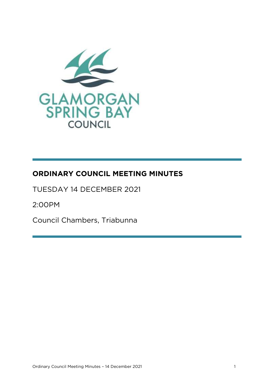

# **ORDINARY COUNCIL MEETING MINUTES**

TUESDAY 14 DECEMBER 2021

2:00PM 2:00PM

Council Chambers, Triabunna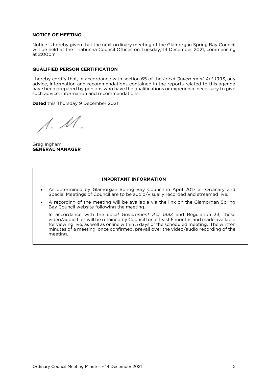### **NOTICE OF MEETING**

Notice is hereby given that the next ordinary meeting of the Glamorgan Spring Bay Council  $\lambda$  at  $\lambda$  0.000  $\mu$ at 2:00pm

## **QUALIFIED PERSON CERTIFICATION**

I hereby certify that, in accordance with section 65 of the *Local Government Act 1993*, any have been prepared by persons who have the qualifications or experience necessary to give such advice, information and recommendations. such advice, information and recommendations.

**Dated** this Thursday 9 December 2021

 $\Lambda$ .  $\mathcal M$ 

Greg Ingham<br>**GENERAL MANAGER GENERAL MANAGER**

### **IMPORTANT INFORMATION**

- As determined by Glamorgan Spring Bay Council in April 2017 all Ordinary and Special Meetings of Council are to be audio/visually recorded and streamed live. Special Meetings of Council are to be audio/visually recorded and streamed live.
- A recording of the meeting will be available via the link on the Glamorgan Spring<br>Bay Council website following the meeting

Bay Council website following the meeting.<br>In accordance with the Local Government Act 1993 and Regulation 33, these video/audio files will be retained by Council for at least 6 months and made available for viewing live, as well as online within 5 days of the scheduled meeting. The written minutes of a meeting, once confirmed, prevail over the video/audio recording of the meeting.<br>meeting. meeting.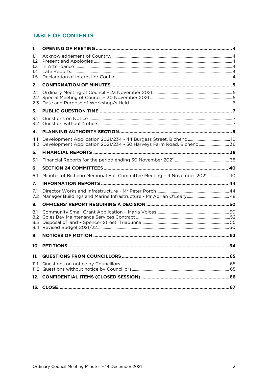### **TABLE OF CONTENTS**

| 1.                       |                                                                         |     |
|--------------------------|-------------------------------------------------------------------------|-----|
| 1.1<br>1.2<br>1.3        |                                                                         |     |
| 1.4<br>1.5               |                                                                         |     |
| 2.                       |                                                                         |     |
| 2.1<br>2.2<br>2.3        |                                                                         |     |
| 3.                       |                                                                         |     |
| 3.1<br>3.2               |                                                                         |     |
| 4.                       |                                                                         |     |
| 4.1<br>4.2               | Development Application 2021/234 - 50 Harveys Farm Road, Bicheno 36     |     |
| 5.                       |                                                                         |     |
| 5.1                      |                                                                         |     |
| 6.                       |                                                                         |     |
| 6.1                      | Minutes of Bicheno Memorial Hall Committee Meeting - 9 November 2021 40 |     |
| 7.                       |                                                                         |     |
| 7.1<br>7.2               |                                                                         |     |
| 8.                       |                                                                         |     |
| 8.1<br>8.2<br>8.3<br>8.4 |                                                                         |     |
| 9.                       |                                                                         |     |
|                          | <b>10. PETITIONS</b>                                                    | .64 |
| 11.                      |                                                                         |     |
| 11.1                     |                                                                         |     |
|                          |                                                                         |     |
|                          |                                                                         |     |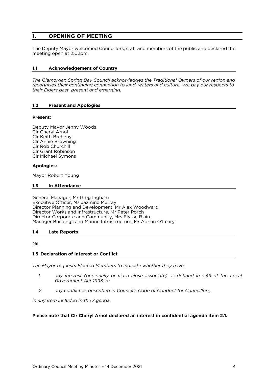#### <span id="page-3-0"></span> $\mathbf{1}$ . **1. OPENING OF MEETING**

The Deputy Mayor welcomed Councillors, staff and members of the public and declared the meeting open at 2:02pm.

#### <span id="page-3-1"></span> $1.1$ **1.1 Acknowledgement of Country**

*The Glamorgan Spring Bay Council acknowledges the Traditional Owners of our region and recognises their continuing connection to land, waters and culture. We pay our respects to their Elders past, present and emerging.*

### <span id="page-3-2"></span>**1.2 Present and Apologies**

#### **Present:**

Deputy Mayor Jenny Woods<br>CIr Cheryl Arnol Clr Keith Breheny Clr Annie Browning Clr Rob Churchill Clr Grant Robinson Clr Michael Symons Clr Michael Symons

### **Apologies:**

<span id="page-3-3"></span>mayor robert *Young* 

#### $1.3$ In Attendance **1.3 In Attendance**

General Manager, Mr Greg Ingham Director Planning and Development, Mr Alex Woodward Director Works and Infrastructure, Mr Peter Porch Director Corporate and Community, Mrs Elysse Blain Manager Buildings and Marine Infrastructure. Mr Adri Manager Buildings and Marine Infrastructure, Mr Adrian O'Leary

### <span id="page-3-4"></span>**1.4 Late Reports**

<span id="page-3-5"></span>

### **1.5 Declaration of Interest or Conflict**

*The Mayor requests Elected Members to indicate whether they have:* 

- any interest (personally or via a close associate) as defined in s.49 of the Local<br>Government Act 1993: or  $\mathcal{I}$ *Government Act 1993; or*
- *2. any conflict as described in Council's Code of Conduct for Councillors,*

*in any item included in the Agenda.*

### **Please note that Clr Cheryl Arnol declared an interest in confidential agenda item 2.1.**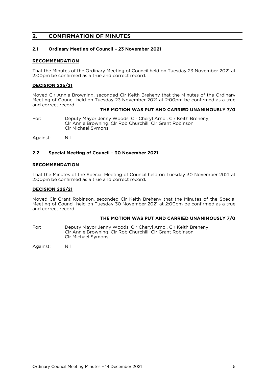#### <span id="page-4-0"></span> $2.$ **2. CONFIRMATION OF MINUTES**

## <span id="page-4-1"></span>**2.1 Ordinary Meeting of Council – 23 November 2021**

#### **RECOMMENDATION**

That the Minutes of the Ordinary Meeting of Council held on Tuesday 23 November 2021 at 2:00pm be confirmed as a true and correct record.

#### **DECISION 225/21**

Moved Clr Annie Browning, seconded Clr Keith Breheny that the Minutes of the Ordinary<br>Meeting of Council held on Tuesday 23 November 2021 at 2:00pm be confirmed as a true and correct record.

### **THE MOTION WAS PUT AND CARRIED UNANIMOUSLY 7/0**

For: Deputy Mayor Jenny Woods, Clr Cheryl Arnol, Clr Keith Breheny,<br>Clr Annie Browning, Clr Rob Churchill, Clr Grant Robinson, Clr Michael Symons Clr Michael Symons

Against: Nil

#### <span id="page-4-2"></span>**2.2 Special Meeting of Council – 30 November 2021**

#### **RECOMMENDATION**

That the Minutes of the Special Meeting of Council held on Tuesday 30 November 2021 at 2:00pm be confirmed as a true and correct record.

#### **DECISION 226/21**

Moved Clr Grant Robinson, seconded Clr Keith Breheny that the Minutes of the Special Meeting of Council held on Tuesday 30 November 2021 at 2:00pm be confirmed as a true and correct record.

### **THE MOTION WAS PUT AND CARRIED UNANIMOUSLY 7/0**

Deputy Mayor Jenny Woods, Clr Cheryl Arnol, Clr Keith Breheny, Clr Annie Browning, Clr Rob Churchill, Clr Grant Robinson, For: Clr Michael Symons Clr Michael Symons

Against: Nil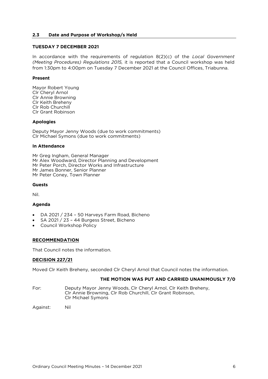#### <span id="page-5-0"></span>**2.3 Date and Purpose of Workshop/s Held**

### **TUESDAY 7 DECEMBER 2021**

In accordance with the requirements of regulation 8(2)(c) of the *Local Government* (Meeting Procedures) Regulations 2015, it is reported that a Council workshop was held from 1:30pm to 4:00pm on Tuesday 7 December 2021 at the Council Offices, Triabunna. from 1:30pm to 4:00pm on Tuesday 7 December 2021 at the Council Offices, Triabunna.

#### **Present Present**

Mayor Robert Young<br>Clr Cheryl Arnol Clr Annie Browning Clr Keith Brehenv Clr Rob Churchill Clr Grant Robinson Clr Grant Robinson

### **Apologies**

Deputy Mayor Jenny Woods (due to work commitments)<br>CIr Michael Symons (due to work commitments) Clr Michael Symons (due to work commitments)

### **In Attendance**

Mr Greg Ingham, General Manager<br>Mr Alex Woodward, Director Planning and Development Mr Peter Porch, Director Works and Infrastructure Mr James Bonner, Senior Planner Mr Peter Coney, Town Planner Mr Peter Coney, Town Planner

#### **Guests Guests**

Nil.

### **Agenda**

- DA 2021 / 234 50 Harveys Farm Road, Bicheno
- SA 2021 / 23 44 Burgess Street, Bicheno
- Council Workshop Policy

### <u>\_\_\_\_\_\_\_\_\_\_\_\_\_\_\_\_\_\_\_\_</u>

That Council notes the information. That Council notes the information.

#### **DECISION 227/21**

Moved Clr Keith Breheny, seconded Clr Cheryl Arnol that Council notes the information.

#### THE MOTION WAS PUT AND CARRIED UNANIMOUSLY 7/0 **THE MOTION WAS PUT AND CARRIED UNANIMOUSLY 7/0**

- For: Deputy Mayor Jenny Woods, Clr Cheryl Arnol, Clr Keith Breheny, Clr Annie Browning, Clr Rob Churchill, Clr Grant Robinson, Clr Michael Symons Clr Michael Symons
- Nil Against: Nil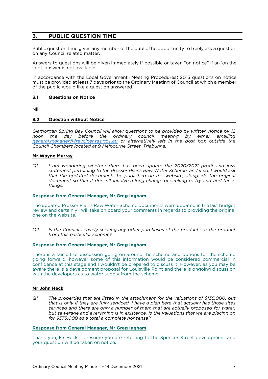#### <span id="page-6-0"></span> $\overline{3}$ . **PUBLIC QUESTION TIME 3. PUBLIC QUESTION TIME**

Public question time gives any member of the public the opportunity to freely ask a question<br>on any Council related matter. on any Council related matter.

Answers to questions will be given immediately if possible or taken "on notice" if an 'on the spot' answer is not available. spot' answer is not available.

In accordance with the Local Government (Meeting Procedures) 2015 questions on notice must be provided at least 7 days prior to the Ordinary Meeting of Council at which a member of the public would like a question answered. of the public would like a question answered.

#### <span id="page-6-1"></span>**Questions on Notice 3.1 Questions on Notice**

<span id="page-6-2"></span>**Nil** 

### **3.2 Question without Notice**

*Glamorgan Spring Bay Council will allow questions to be provided by written notice by 12 general.manager@frevcinet.tas.gov.au or alternatively left in the post box outside the Council Chambers located at 9 Melbourne Street, Triabunna. Council Chambers located at 9 Melbourne Street, Triabunna.*

### **Mar Wayne Murray**

 $QI$ *I* am wondering whether there has been update the 2020/2021 profit and loss statement pertaining to the Prosser Plains Raw Water Scheme, and if so, I would ask that the updated documents be published on the website, alongside the original *document so that it doesn't involve a long change of seeking to try and find these document so that it doesn't involve a long change of seeking to try and find these things.* 

### **Response from General Manager, Mr Greg Ingham**

The updated Prosser Plains Raw Water Scheme documents were updated in the last budget review and certainly I will take on board your comments in regards to providing the original one on the website

 $Q2$ . *ls the Council actively seeking any other purchases of the products or the product from this particular scheme? from this particular scheme?* 

#### **Response from General Manager. Mr Greg Ingham Response from General Manager, Mr Greg Ingham**

There is a fair bit of discussion going on around the scheme and options for the scheme going forward, however some of this information would be considered commercial in confidence at this stage and I wouldn't be prepared to discuss it. However, as you may be aware there is a development proposal for Louisville Point and there is ongoing discussion with the developers as to water supply from the scheme. with the developers as to water supply from the scheme.

### **Mr John Heck**

 $Q1$ *Q1. The properties that are listed in the attachment for the valuations of \$135,000, but that is only if they are fully serviced. I have a plan here that actually has those sites*  but sewerage and everything is in existence. Is the valuations that we are placing on for \$375,000 as a total a complete nonsense? *for \$375,000 as a total a complete nonsense?* 

#### **Response from General Manager, Mr Greg Ingham**

Thank you, Mr Heck, I presume you are referring to the Spencer Street development and your question will be taken on notice.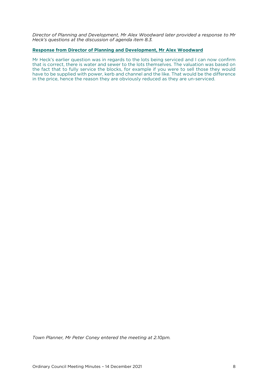*Director of Planning and Development, Mr Alex Woodward later provided a response to Mr Heck's questions at the discussion of agenda item 8.3.*

#### **Response from Director of Planning and Development, Mr Alex Woodward**

Mr Heck's earlier question was in regards to the lots being serviced and I can now confirm that is correct, there is water and sewer to the lots themselves. The valuation was based on the fact that to fully service the blocks, for example if you were to sell those they would have to be supplied with power, kerb and channel and the like. That would be the difference in the price, hence the reason they are obviously reduced as they are un-serviced. in the price, hence the reason they are obviously reduced as they are un-serviced.

*Town Planner, Mr Peter Coney entered the meeting at 2.10pm.*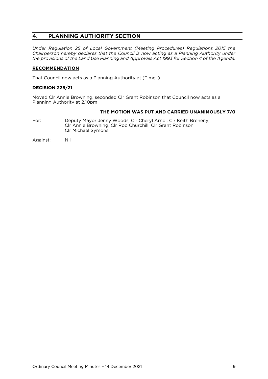#### <span id="page-8-0"></span> $4.$ **4. PLANNING AUTHORITY SECTION**

*Under Regulation 25 of Local Government (Meeting Procedures) Regulations 2015 the Chairperson hereby declares that the Council is now acting as a Planning Authority under the provisions of the Land Use Planning and Approvals Act 1993 for Section 4 of the Agenda.* 

## **RECOMMENDATION**

That Council now acts as a Planning Authority at (Time: ).

### **DECISION 228/21**

Moved Clr Annie Browning, seconded Clr Grant Robinson that Council now acts as a Planning Authority at 2.10pm

# **THE MOTION WAS PUT AND CARRIED UNANIMOUSLY 7/0**<br>Deputy Mayor Jenny Woods, Clr Cheryl Arnol, Clr Keith Breheny,

- For: Clr Annie Browning, Clr Rob Churchill, Clr Grant Robinson, Clr Michael Symons Clr Michael Symons
- Against: Nil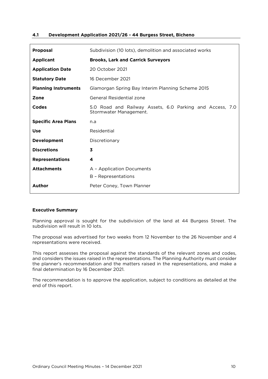### <span id="page-9-0"></span>**4.1 Development Application 2021/26 - 44 Burgess Street, Bicheno**

| <b>Proposal</b>             | Subdivision (10 lots), demolition and associated works                             |  |  |  |
|-----------------------------|------------------------------------------------------------------------------------|--|--|--|
| <b>Applicant</b>            | <b>Brooks, Lark and Carrick Surveyors</b>                                          |  |  |  |
| <b>Application Date</b>     | 20 October 2021                                                                    |  |  |  |
| <b>Statutory Date</b>       | 16 December 2021                                                                   |  |  |  |
| <b>Planning Instruments</b> | Glamorgan Spring Bay Interim Planning Scheme 2015                                  |  |  |  |
| Zone                        | General Residential zone                                                           |  |  |  |
| Codes                       | 5.0 Road and Railway Assets, 6.0 Parking and Access, 7.0<br>Stormwater Management. |  |  |  |
| <b>Specific Area Plans</b>  | n.a                                                                                |  |  |  |
| <b>Use</b>                  | Residential                                                                        |  |  |  |
| Development                 | Discretionary                                                                      |  |  |  |
| <b>Discretions</b>          | 3                                                                                  |  |  |  |
| <b>Representations</b><br>4 |                                                                                    |  |  |  |
| <b>Attachments</b>          | A - Application Documents<br>B - Representations                                   |  |  |  |
| <b>Author</b>               | Peter Coney, Town Planner                                                          |  |  |  |

## **Executive Summary**

Planning approval is sought for the subdivision of the land at 44 Burgess Street. The subdivision will result in 10 lots.

The proposal was advertised for two weeks from 12 November to the 26 November and 4 representations were received.

This report assesses the proposal against the standards of the relevant zones and codes, and considers the issues raised in the representations. The Planning Authority must consider the planner's recommendation and the matters raised in the representations, and make a the planner of the planner recommendation and the matter representations, and make a<br>final determination by 16 December 2021 final determination by 16 December 2021.

The recommendation is to approve the application, subject to conditions as detailed at the end of this report.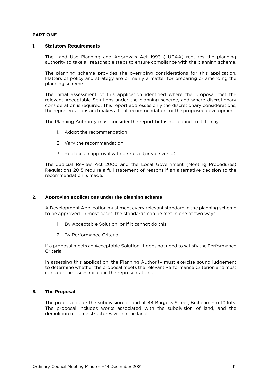### **PART ONE**

#### $\mathbf{1}$ **1. Statutory Requirements**

The Land Use Planning and Approvals Act 1993 (LUPAA) requires the planning authority to take all reasonable steps to ensure compliance with the planning scheme. authority to take all reasonable steps to ensure compliance with the planning scheme.

The planning scheme provides the overriding considerations for this application.<br>Matters of policy and strategy are primarily a matter for preparing or amending the planning scheme. planning scheme.

The initial assessment of this application identified where the proposal met the relevant Acceptable Solutions under the planning scheme, and where discretionary consideration is required. This report addresses only the discretionary considerations, consideration is required. This requires  $\frac{1}{2}$  reported. This report addresses on  $\frac{1}{2}$  reported. The proposed development the representations and makes a final recommendation for the proposed development.

The Planning Authority must consider the report but is not bound to it. It may:

- 1. Adopt the recommendation
- 2. Vary the recommendation
- 3. Replace an approval with a refusal (or vice versa).

The Judicial Review Act 2000 and the Local Government (Meeting Procedures)<br>Regulations 2015 require a full statement of reasons if an alternative decision to the recommendation is made. recommendation is made.

#### $2.$ **2. Approving applications under the planning scheme**

 $A_{\text{D}}$  be approved in most cases the standards can be met in one of two ways: to be approved. In most cases, the standards can be met in one of two ways:

- $\frac{1}{2}$ . By Acceptable Solution, or if it cannot do this is cannot do this,  $\frac{1}{2}$
- 2. By Performance Criteria.

If a proposal meets an Acceptable Solution, it does not need to satisfy the Performance Criteria.

In assessing this application, the Planning Authority must exercise sound judgement to determine whether the proposal meets the relevant Performance Criterion and must consider the issues raised in the representations. consider the issues raised in the representations.

### **3. The Proposal**

The proposal is for the subdivision of land at 44 Burgess Street, Bicheno into 10 lots.<br>The proposal includes works associated with the subdivision of land, and the de molition of some structures within the land demolition of some structures within the land.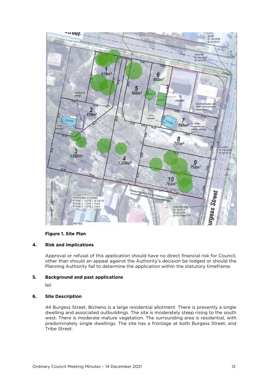

## **Figure 1. Site Plan**

#### $4.$ **4. Risk and implications**

Approval or refusal of this application should have no direct financial risk for Council, other than should an appeal against the Authority's decision be lodged or should the  $\alpha$  Depends authority fail to determine the application within the statutory time frame Planning Authority fail to determine the application within the statutory timeframe.

# **5. Background and past applications**

### **6. Site Description**

44 Burgess Street, Bicheno is a large residential allotment. There is presently a single dwelling and associated outbuildings. The site is moderately steep rising to the south west. There is moderate mature vegetation. The surrounding area is residential, with western in the induced maturity  $\sum_{n=1}^{\infty}$  moderate maturity  $\sum_{n=1}^{\infty}$  is  $\sum_{n=1}^{\infty}$  is a front and  $\sum_{n=1}^{\infty}$  is residentially single dwellings. The site has a front age at both Burgess Street, and predominately single dwellings. The site has a frontage at both Burgess Street, and Tribe Street.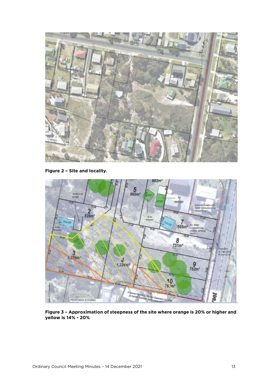

**Figure 2 – Site and locality.**



**Figure 3 – Approximation of steepness of the site where orange is 20% or higher and yellow is 14% - 20%**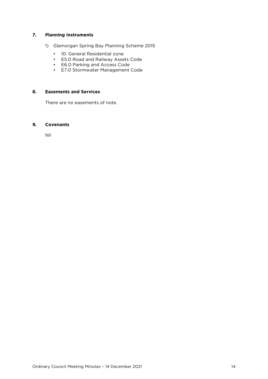### **7. Planning Instruments**

- 1) Glamorgan Spring Bay Planning Scheme 2015<br>
 10. General Residential zone
	-
	- E5.0 Road and Railway Assets Code
	- E6.0 Parking and Access Code
	- $\cdot$  F7.0 Stormwater Management • E7.0 Stormwater Management Code

### **8. Easements and Services**

### **9. Covenants**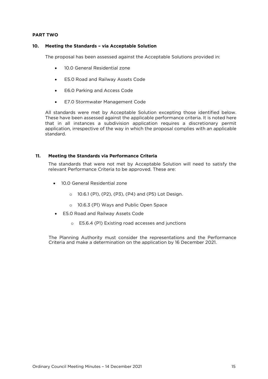## **PART TWO**

#### **10. Meeting the Standards – via Acceptable Solution**  10.

The proposal has been assessed against the Acceptable Solutions provided in:

- 10.0 General Residential zone
- E5.0 Road and Railway Assets Code
- E6.0 Parking and Access Code
- E7.0 Stormwater Management Code

All standards were met by Acceptable Solution excepting those identified below.<br>These have been assessed against the applicable performance criteria. It is noted here that in all instances a subdivision application requires a discretionary permit application, irrespective of the way in which the proposal complies with an applicable  $\alpha$  is the way in which the way in which the way in which the proposal complication  $\alpha$ 

#### $11.$ **11. Meeting the Standards via Performance Criteria**

The state met by Acceptable Solution with the state of the state of the state of the satisfy the satisfy the satisfy the satisfy the satisfy the satisfy the satisfy the satisfy the satisfy the satisfy the satisfy the satis relevant Performance Criteria to be approved. These are:

- 10.0 General Residential zone
	- <sup>o</sup> 10.6.1 (P1), (P2), (P3), (P4) and (P5) Lot Design.
	- <sup>o</sup> 10.6.3 (P1) Ways and Public Open Space
- E5.0 Road and Railway Assets Code
	- <sup>o</sup> E5.6.4 (P1) Existing road accesses and junctions

Criteria and make a determination on the application by  $16$  December 2021 Criteria and make a determination on the application by 16 December 2021.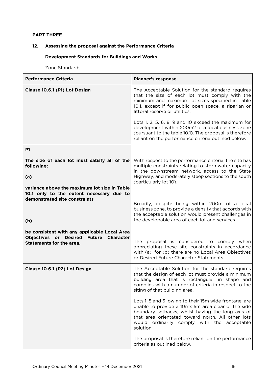### **PART THREE**

### **12. Assessing the proposal against the Performance Criteria**

### **Development Standards for Buildings and Works**

Zone Standards

| <b>Performance Criteria</b>                                                                                                      | <b>Planner's response</b>                                                                                                                                                                                                                                                          |  |  |  |  |
|----------------------------------------------------------------------------------------------------------------------------------|------------------------------------------------------------------------------------------------------------------------------------------------------------------------------------------------------------------------------------------------------------------------------------|--|--|--|--|
| Clause 10.6.1 (P1) Lot Design                                                                                                    | The Acceptable Solution for the standard requires<br>that the size of each lot must comply with the<br>minimum and maximum lot sizes specified in Table<br>10.1, except if for public open space, a riparian or<br>littoral reserve or utilities.                                  |  |  |  |  |
|                                                                                                                                  | Lots 1, 2, 5, 6, 8, 9 and 10 exceed the maximum for<br>development within 200m2 of a local business zone<br>(pursuant to the table 10.1). The proposal is therefore<br>reliant on the performance criteria outlined below.                                                         |  |  |  |  |
| <b>P1</b>                                                                                                                        |                                                                                                                                                                                                                                                                                    |  |  |  |  |
| The size of each lot must satisfy all of the<br>following:                                                                       | With respect to the performance criteria, the site has<br>multiple constraints relating to stormwater capacity<br>in the downstream network, access to the State                                                                                                                   |  |  |  |  |
| (a)<br>variance above the maximum lot size in Table<br>10.1 only to the extent necessary due to<br>demonstrated site constraints | Highway, and moderately steep sections to the south<br>(particularly lot 10).                                                                                                                                                                                                      |  |  |  |  |
| (b)                                                                                                                              | Broadly, despite being within 200m of a local<br>business zone, to provide a density that accords with<br>the acceptable solution would present challenges in<br>the developable area of each lot and services.                                                                    |  |  |  |  |
| be consistent with any applicable Local Area<br>Objectives or Desired Future Character<br><b>Statements for the area.</b>        | The proposal is considered to comply when<br>appreciating these site constraints in accordance<br>with (a). for (b) there are no Local Area Objectives<br>or Desired Future Character Statements.                                                                                  |  |  |  |  |
| Clause 10.6.1 (P2) Lot Design                                                                                                    | The Acceptable Solution for the standard requires<br>that the design of each lot must provide a minimum<br>building area that is rectangular in shape and<br>complies with a number of criteria in respect to the<br>siting of that building area.                                 |  |  |  |  |
|                                                                                                                                  | Lots 1, 5 and 6, owing to their 15m wide frontage, are<br>unable to provide a 10mx15m area clear of the side<br>boundary setbacks, whilst having the long axis of<br>that area orientated toward north. All other lots<br>would ordinarily comply with the acceptable<br>solution. |  |  |  |  |
|                                                                                                                                  | The proposal is therefore reliant on the performance<br>criteria as outlined below.                                                                                                                                                                                                |  |  |  |  |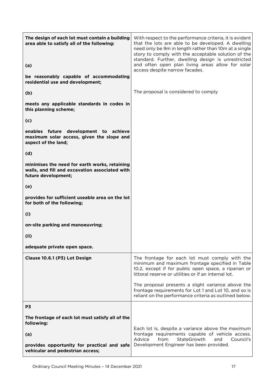| The design of each lot must contain a building<br>area able to satisfy all of the following:                           | With respect to the performance criteria, it is evident<br>that the lots are able to be developed. A dwelling<br>need only be 9m in length rather than 10m at a single<br>story to comply with the acceptable solution of the<br>standard. Further, dwelling design is unrestricted<br>and often open plan living areas allow for solar |  |  |  |
|------------------------------------------------------------------------------------------------------------------------|-----------------------------------------------------------------------------------------------------------------------------------------------------------------------------------------------------------------------------------------------------------------------------------------------------------------------------------------|--|--|--|
| (a)                                                                                                                    | access despite narrow facades.                                                                                                                                                                                                                                                                                                          |  |  |  |
| be reasonably capable of accommodating<br>residential use and development;                                             |                                                                                                                                                                                                                                                                                                                                         |  |  |  |
| (b)                                                                                                                    | The proposal is considered to comply                                                                                                                                                                                                                                                                                                    |  |  |  |
| meets any applicable standards in codes in<br>this planning scheme;                                                    |                                                                                                                                                                                                                                                                                                                                         |  |  |  |
| (c)                                                                                                                    |                                                                                                                                                                                                                                                                                                                                         |  |  |  |
| future development to achieve<br>enables<br>maximum solar access, given the slope and<br>aspect of the land;           |                                                                                                                                                                                                                                                                                                                                         |  |  |  |
| (d)                                                                                                                    |                                                                                                                                                                                                                                                                                                                                         |  |  |  |
| minimises the need for earth works, retaining<br>walls, and fill and excavation associated with<br>future development; |                                                                                                                                                                                                                                                                                                                                         |  |  |  |
| (e)                                                                                                                    |                                                                                                                                                                                                                                                                                                                                         |  |  |  |
| provides for sufficient useable area on the lot<br>for both of the following;                                          |                                                                                                                                                                                                                                                                                                                                         |  |  |  |
| (i)                                                                                                                    |                                                                                                                                                                                                                                                                                                                                         |  |  |  |
| on-site parking and manoeuvring;                                                                                       |                                                                                                                                                                                                                                                                                                                                         |  |  |  |
| (i)                                                                                                                    |                                                                                                                                                                                                                                                                                                                                         |  |  |  |
| adequate private open space.                                                                                           |                                                                                                                                                                                                                                                                                                                                         |  |  |  |
| Clause 10.6.1 (P3) Lot Design                                                                                          | The frontage for each lot must comply with the<br>minimum and maximum frontage specified in Table<br>10.2, except if for public open space, a riparian or<br>littoral reserve or utilities or if an internal lot.                                                                                                                       |  |  |  |
|                                                                                                                        | The proposal presents a slight variance above the<br>frontage requirements for Lot 1 and Lot 10, and so is<br>reliant on the performance criteria as outlined below.                                                                                                                                                                    |  |  |  |
| P3                                                                                                                     |                                                                                                                                                                                                                                                                                                                                         |  |  |  |
| The frontage of each lot must satisfy all of the<br>following:                                                         |                                                                                                                                                                                                                                                                                                                                         |  |  |  |
| (a)                                                                                                                    | Each lot is, despite a variance above the maximum<br>frontage requirements capable of vehicle access.<br>StateGrowth<br>Advice<br>from<br>Council's<br>and                                                                                                                                                                              |  |  |  |
| provides opportunity for practical and safe<br>vehicular and pedestrian access;                                        | Development Engineer has been provided.                                                                                                                                                                                                                                                                                                 |  |  |  |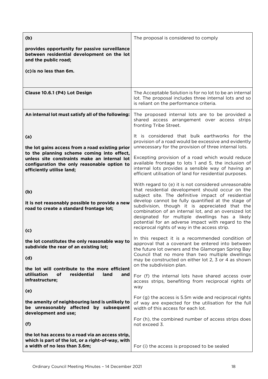| (b)                                                                                                                                                                    | The proposal is considered to comply                                                                                                                                                                                                                                                                                                                                                                                                                                                    |  |  |  |
|------------------------------------------------------------------------------------------------------------------------------------------------------------------------|-----------------------------------------------------------------------------------------------------------------------------------------------------------------------------------------------------------------------------------------------------------------------------------------------------------------------------------------------------------------------------------------------------------------------------------------------------------------------------------------|--|--|--|
| provides opportunity for passive surveillance<br>between residential development on the lot<br>and the public road;                                                    |                                                                                                                                                                                                                                                                                                                                                                                                                                                                                         |  |  |  |
| (c) is no less than 6m.                                                                                                                                                |                                                                                                                                                                                                                                                                                                                                                                                                                                                                                         |  |  |  |
|                                                                                                                                                                        |                                                                                                                                                                                                                                                                                                                                                                                                                                                                                         |  |  |  |
| Clause 10.6.1 (P4) Lot Design                                                                                                                                          | The Acceptable Solution is for no lot to be an internal<br>lot. The proposal includes three internal lots and so<br>is reliant on the performance criteria.                                                                                                                                                                                                                                                                                                                             |  |  |  |
| An internal lot must satisfy all of the following:                                                                                                                     | The proposed internal lots are to be provided a<br>shared access arrangement over access strips<br>fronting Tribe Street.                                                                                                                                                                                                                                                                                                                                                               |  |  |  |
| (a)<br>the lot gains access from a road existing prior                                                                                                                 | It is considered that bulk earthworks for the<br>provision of a road would be excessive and evidently<br>unnecessary for the provision of three internal lots.                                                                                                                                                                                                                                                                                                                          |  |  |  |
| to the planning scheme coming into effect,<br>unless site constraints make an internal lot<br>configuration the only reasonable option to<br>efficiently utilise land; | Excepting provision of a road which would reduce<br>available frontage to lots 1 and 5, the inclusion of<br>internal lots provides a sensible way of having an<br>efficient utilisation of land for residential purposes.                                                                                                                                                                                                                                                               |  |  |  |
| (b)<br>it is not reasonably possible to provide a new<br>road to create a standard frontage lot;<br>(c)                                                                | With regard to (e) it is not considered unreasonable<br>that residential development should occur on the<br>subject site. The definitive impact of residential<br>develop cannot be fully quantified at the stage of<br>subdivision, though it is appreciated that the<br>combination of an internal lot, and an oversized lot<br>designated for multiple dwellings has a likely<br>potential for an adverse impact with regard to the<br>reciprocal rights of way in the access strip. |  |  |  |
| the lot constitutes the only reasonable way to<br>subdivide the rear of an existing lot;<br>(d)                                                                        | In this respect it is a recommended condition of<br>approval that a covenant be entered into between<br>the future lot owners and the Glamorgan Spring Bay<br>Council that no more than two multiple dwellings<br>may be constructed on either lot 2, 3 or 4 as shown<br>on the subdivision plan.                                                                                                                                                                                       |  |  |  |
| the lot will contribute to the more efficient<br>utilisation<br>of<br>residential<br>land<br>and<br>infrastructure;                                                    | For (f) the internal lots have shared access over<br>access strips, benefiting from reciprocal rights of<br>way                                                                                                                                                                                                                                                                                                                                                                         |  |  |  |
| (e)                                                                                                                                                                    | For (g) the access is 5.5m wide and reciprocal rights                                                                                                                                                                                                                                                                                                                                                                                                                                   |  |  |  |
| the amenity of neighbouring land is unlikely to<br>be unreasonably affected by subsequent<br>development and use;                                                      | of way are expected for the utilisation for the full<br>width of this access for each lot.                                                                                                                                                                                                                                                                                                                                                                                              |  |  |  |
| (f)                                                                                                                                                                    | For (h), the combined number of access strips does<br>not exceed 3.                                                                                                                                                                                                                                                                                                                                                                                                                     |  |  |  |
| the lot has access to a road via an access strip,<br>which is part of the lot, or a right-of-way, with<br>a width of no less than 3.6m;                                | For (i) the access is proposed to be sealed                                                                                                                                                                                                                                                                                                                                                                                                                                             |  |  |  |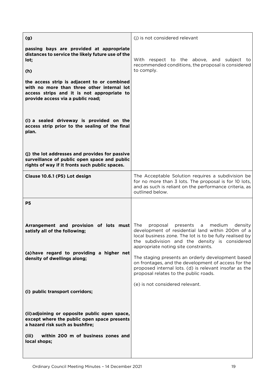| (g)                                                                                                                                                                          | (i) is not considered relevant                                                                                                                                                                                                                                |
|------------------------------------------------------------------------------------------------------------------------------------------------------------------------------|---------------------------------------------------------------------------------------------------------------------------------------------------------------------------------------------------------------------------------------------------------------|
| passing bays are provided at appropriate<br>distances to service the likely future use of the<br>lot;                                                                        | respect to the above, and subject to<br>With<br>recommended conditions, the proposal is considered<br>to comply.                                                                                                                                              |
| (h)                                                                                                                                                                          |                                                                                                                                                                                                                                                               |
| the access strip is adjacent to or combined<br>with no more than three other internal lot<br>access strips and it is not appropriate to<br>provide access via a public road; |                                                                                                                                                                                                                                                               |
| (i) a sealed driveway is provided on the<br>access strip prior to the sealing of the final<br>plan.                                                                          |                                                                                                                                                                                                                                                               |
| (j) the lot addresses and provides for passive<br>surveillance of public open space and public<br>rights of way if it fronts such public spaces.                             |                                                                                                                                                                                                                                                               |
| Clause 10.6.1 (P5) Lot design                                                                                                                                                | The Acceptable Solution requires a subdivision be<br>for no more than 3 lots. The proposal is for 10 lots,<br>and as such is reliant on the performance criteria, as<br>outlined below.                                                                       |
| P <sub>5</sub>                                                                                                                                                               |                                                                                                                                                                                                                                                               |
| Arrangement and provision of lots must<br>satisfy all of the following;                                                                                                      | medium<br>The<br>proposal<br>presents<br>density<br>a<br>development of residential land within 200m of a<br>local business zone. The lot is to be fully realised by<br>the subdivision and the density is considered<br>appropriate noting site constraints. |
| (a) have regard to providing a higher net<br>density of dwellings along;                                                                                                     | The staging presents an orderly development based<br>on frontages, and the development of access for the<br>proposed internal lots. (d) is relevant insofar as the<br>proposal relates to the public roads.                                                   |
| (i) public transport corridors;                                                                                                                                              | (e) is not considered relevant.                                                                                                                                                                                                                               |
| (ii) adjoining or opposite public open space,<br>except where the public open space presents<br>a hazard risk such as bushfire;                                              |                                                                                                                                                                                                                                                               |
| within 200 m of business zones and<br>(iii)<br>local shops;                                                                                                                  |                                                                                                                                                                                                                                                               |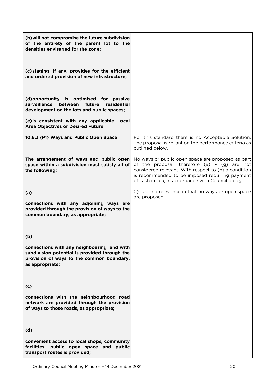| (b) will not compromise the future subdivision<br>of the entirety of the parent lot to the<br>densities envisaged for the zone;                              |                                                                                                                                                                                                                                                                      |
|--------------------------------------------------------------------------------------------------------------------------------------------------------------|----------------------------------------------------------------------------------------------------------------------------------------------------------------------------------------------------------------------------------------------------------------------|
| (c) staging, if any, provides for the efficient<br>and ordered provision of new infrastructure;                                                              |                                                                                                                                                                                                                                                                      |
| (d) opportunity is optimised for passive<br>surveillance<br>residential<br>future<br>between<br>development on the lots and public spaces;                   |                                                                                                                                                                                                                                                                      |
| (e) is consistent with any applicable Local<br>Area Objectives or Desired Future.                                                                            |                                                                                                                                                                                                                                                                      |
| 10.6.3 (P1) Ways and Public Open Space                                                                                                                       | For this standard there is no Acceptable Solution.<br>The proposal is reliant on the performance criteria as<br>outlined below.                                                                                                                                      |
| The arrangement of ways and public open<br>space within a subdivision must satisfy all of<br>the following:                                                  | No ways or public open space are proposed as part<br>of the proposal. therefore $(a) - (g)$ are not<br>considered relevant. With respect to (h) a condition<br>is recommended to be imposed requiring payment<br>of cash in lieu, in accordance with Council policy. |
| (a)                                                                                                                                                          | (i) is of no relevance in that no ways or open space<br>are proposed.                                                                                                                                                                                                |
| connections with any adjoining ways are<br>provided through the provision of ways to the<br>common boundary, as appropriate;                                 |                                                                                                                                                                                                                                                                      |
| (b)                                                                                                                                                          |                                                                                                                                                                                                                                                                      |
| connections with any neighbouring land with<br>subdivision potential is provided through the<br>provision of ways to the common boundary,<br>as appropriate; |                                                                                                                                                                                                                                                                      |
| (c)                                                                                                                                                          |                                                                                                                                                                                                                                                                      |
| connections with the neighbourhood road<br>network are provided through the provision<br>of ways to those roads, as appropriate;                             |                                                                                                                                                                                                                                                                      |
| (d)                                                                                                                                                          |                                                                                                                                                                                                                                                                      |
| convenient access to local shops, community<br>facilities, public open space and public<br>transport routes is provided;                                     |                                                                                                                                                                                                                                                                      |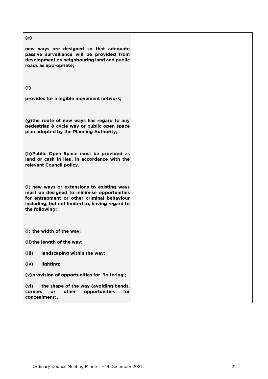### **(e)**

| new ways are designed so that adequate<br>passive surveillance will be provided from<br>development on neighbouring land and public<br>roads as appropriate;                                                 |  |
|--------------------------------------------------------------------------------------------------------------------------------------------------------------------------------------------------------------|--|
| (f)                                                                                                                                                                                                          |  |
| provides for a legible movement network;                                                                                                                                                                     |  |
| (g) the route of new ways has regard to any<br>pedestrian & cycle way or public open space<br>plan adopted by the Planning Authority;                                                                        |  |
| (h) Public Open Space must be provided as<br>land or cash in lieu, in accordance with the<br>relevant Council policy.                                                                                        |  |
| (i) new ways or extensions to existing ways<br>must be designed to minimise opportunities<br>for entrapment or other criminal behaviour<br>including, but not limited to, having regard to<br>the following: |  |
| (i) the width of the way;                                                                                                                                                                                    |  |
| (ii) the length of the way;                                                                                                                                                                                  |  |
| landscaping within the way;<br>(iii)                                                                                                                                                                         |  |
| lighting;<br>(iv)                                                                                                                                                                                            |  |
| (v) provision of opportunities for 'loitering';                                                                                                                                                              |  |
| the shape of the way (avoiding bends,<br>(vi)<br>other<br>opportunities<br>for<br>corners<br>or                                                                                                              |  |

**corners or other opportunities for** 

**concealment).**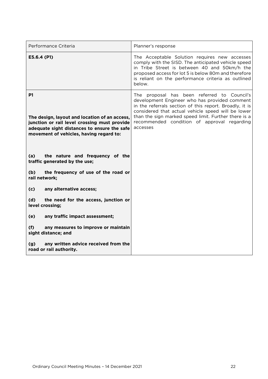| Performance Criteria                                                                                                                                                                          | Planner's response                                                                                                                                                                                                                                                                                                               |  |  |  |
|-----------------------------------------------------------------------------------------------------------------------------------------------------------------------------------------------|----------------------------------------------------------------------------------------------------------------------------------------------------------------------------------------------------------------------------------------------------------------------------------------------------------------------------------|--|--|--|
| E5.6.4 (P1)                                                                                                                                                                                   | The Acceptable Solution requires new accesses<br>comply with the SISD. The anticipated vehicle speed<br>in Tribe Street is between 40 and 50km/h the<br>proposed access for lot 5 is below 80m and therefore<br>is reliant on the performance criteria as outlined<br>below.                                                     |  |  |  |
| P1<br>The design, layout and location of an access,<br>junction or rail level crossing must provide<br>adequate sight distances to ensure the safe<br>movement of vehicles, having regard to: | The proposal has been referred to Council's<br>development Engineer who has provided comment<br>in the referrals section of this report. Broadly, it is<br>considered that actual vehicle speed will be lower<br>than the sign marked speed limit. Further there is a<br>recommended condition of approval regarding<br>accesses |  |  |  |
| the nature and frequency of the<br>(a)<br>traffic generated by the use;                                                                                                                       |                                                                                                                                                                                                                                                                                                                                  |  |  |  |
| the frequency of use of the road or<br>(b)<br>rail network;                                                                                                                                   |                                                                                                                                                                                                                                                                                                                                  |  |  |  |
| any alternative access;<br>(c)                                                                                                                                                                |                                                                                                                                                                                                                                                                                                                                  |  |  |  |
| the need for the access, junction or<br>(d)<br>level crossing;                                                                                                                                |                                                                                                                                                                                                                                                                                                                                  |  |  |  |
| any traffic impact assessment;<br>(e)                                                                                                                                                         |                                                                                                                                                                                                                                                                                                                                  |  |  |  |
| any measures to improve or maintain<br>(f)<br>sight distance; and                                                                                                                             |                                                                                                                                                                                                                                                                                                                                  |  |  |  |
| any written advice received from the<br>(g)<br>road or rail authority.                                                                                                                        |                                                                                                                                                                                                                                                                                                                                  |  |  |  |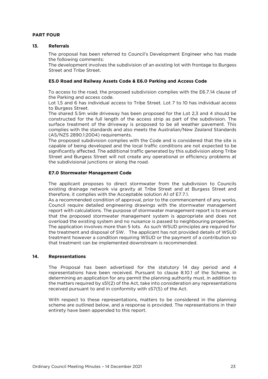### **PART FOUR**

#### $13.$ **Referrals 13. Referrals**

The proposal has been referred to Council's Development Engineer who has made

<u>the development involve</u> The development involves the subdivision of an existing lot with frontage to Burgess and Tribe Street Street and Tribe Street.

#### **E5.0 Road and Railway Assets Code & E6.0 Parking and Access Code**

To access to the road, the proposed subdivision complies with the E6.7.14 clause of the Parking and access code.

Lot 1.5 and 6 has individual access to Tribe Street. Lot 7 to 10 has individual access to Burgess Street.

The shared 5.5m wide driveway has been proposed for the Lot 2,3 and 4 should be constructed for the full length of the access strip as part of the subdivision. The surface treatment of the driveway is proposed to be all weather pavement. This complies with the standards and also meets the Australian/New Zealand Standards (AS/NZS 2890.1:2004) requirements.

The proposed subdivision complies with the Code and is considered that the site is capable of being developed and the local traffic conditions are not expected to be significantly affected. The additional traffic generated by this subdivision along Tribe Street and Burgess Street will not create any operational or efficiency problems at  $\frac{1}{2}$  street and  $\frac{1}{2}$  increase  $\frac{1}{2}$  increase  $\frac{1}{2}$  and  $\frac{1}{2}$  increase  $\frac{1}{2}$  increase  $\frac{1}{2}$  increase  $\frac{1}{2}$  in  $\frac{1}{2}$  in  $\frac{1}{2}$  in  $\frac{1}{2}$  in  $\frac{1}{2}$  in  $\frac{1}{2}$  in  $\frac{1}{2}$  in the subdivisional junctions or along the road.

### **E7.0 Stormwater Management Code**

The applicant proposes to direct stormwater from the subdivision to Councils existing drainage network via gravity at Tribe Street and at Burgess Street and therefore, it complies with the Acceptable solution A1 of E7.7.1.

As a recommended condition of approval, prior to the commencement of any works, Council require detailed engineering drawings with the stormwater management report with calculations. The purpose of stormwater management report is to ensure that the proposed stormwater management system is appropriate and does not overload the existing system and no nuisance is passed to neighbouring properties. The application involves more than 5 lots. As such WSUD principles are required for the treatment and disposal of SW. The applicant has not provided details of WSUD treatment however a condition requiring WSUD or the payment of a contribution so  $t$  hat treatment can be implemented downstream is recommended that treatment can be implemented downstream is recommended.

### **14. Representations**

The Proposal has been advertised for the statutory 14 day period and 4 representations have been received. Pursuant to clause 8.10.1 of the Scheme, in determining an application for any permit the planning authority must, in addition to the matters required by s51(2) of the Act, take into consideration any representations  $t_{\text{rec}}$  required by state into and in conformity with  $57(5)$  of the Act, take into consideration and into conformity with  $57(5)$  of the Act received pursuant to and in conformity with s57(5) of the Act.

With respect to these representations, matters to be considered in the planning scheme are outlined below, and a response is provided. The representations in their  $s$  are outlined below, and a response is provided. The representations in the representations in the representation of  $s$  and a representation of  $s$  and  $s$  and  $s$  and  $s$  and  $s$  and  $s$  and  $s$  and  $s$  and  $s$  and entirety have been appended to this report.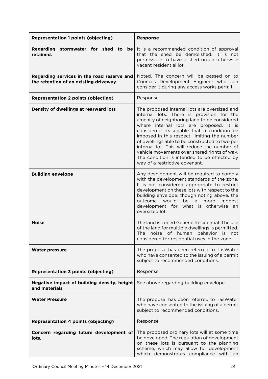| <b>Representation 1 points (objecting)</b>                                           | <b>Response</b>                                                                                                                                                                                                                                                                                                                                                                                                                                                                                                      |  |  |  |
|--------------------------------------------------------------------------------------|----------------------------------------------------------------------------------------------------------------------------------------------------------------------------------------------------------------------------------------------------------------------------------------------------------------------------------------------------------------------------------------------------------------------------------------------------------------------------------------------------------------------|--|--|--|
| stormwater for shed to be<br><b>Regarding</b><br>retained.                           | It is a recommended condition of approval<br>that the shed be demolished. It is not<br>permissible to have a shed on an otherwise<br>vacant residential lot.                                                                                                                                                                                                                                                                                                                                                         |  |  |  |
| Regarding services in the road reserve and<br>the retention of an existing driveway. | Noted. The concern will be passed on to<br>Councils Development Engineer who can<br>consider it during any access works permit.                                                                                                                                                                                                                                                                                                                                                                                      |  |  |  |
| <b>Representation 2 points (objecting)</b>                                           | Response                                                                                                                                                                                                                                                                                                                                                                                                                                                                                                             |  |  |  |
| Density of dwellings at rearward lots                                                | The proposed internal lots are oversized and<br>internal lots. There is provision for the<br>amenity of neighboring land to be considered<br>where internal lots are proposed. It is<br>considered reasonable that a condition be<br>imposed in this respect, limiting the number<br>of dwellings able to be constructed to two per<br>internal lot. This will reduce the number of<br>vehicle movements over shared rights of way.<br>The condition is intended to be effected by<br>way of a restrictive covenant. |  |  |  |
| <b>Building envelope</b>                                                             | Any development will be required to comply<br>with the development standards of the zone.<br>It is not considered appropriate to restrict<br>development on these lots with respect to the<br>building envelope, though noting above, the<br>outcome<br>would<br>be<br>modest<br>a<br>more<br>development for what is otherwise<br>an<br>oversized lot.                                                                                                                                                              |  |  |  |
| <b>Noise</b>                                                                         | The land is zoned General Residential. The use<br>of the land for multiple dwellings is permitted.<br>The noise of human behavior is not<br>considered for residential uses in the zone.                                                                                                                                                                                                                                                                                                                             |  |  |  |
| <b>Water pressure</b>                                                                | The proposal has been referred to TasWater<br>who have consented to the issuing of a permit<br>subject to recommended conditions.                                                                                                                                                                                                                                                                                                                                                                                    |  |  |  |
| <b>Representation 3 points (objecting)</b>                                           | Response                                                                                                                                                                                                                                                                                                                                                                                                                                                                                                             |  |  |  |
| Negative impact of building density, height<br>and materials                         | See above regarding building envelope.                                                                                                                                                                                                                                                                                                                                                                                                                                                                               |  |  |  |
| <b>Water Pressure</b>                                                                | The proposal has been referred to TasWater<br>who have consented to the issuing of a permit<br>subject to recommended conditions.                                                                                                                                                                                                                                                                                                                                                                                    |  |  |  |
| <b>Representation 4 points (objecting)</b>                                           | Response                                                                                                                                                                                                                                                                                                                                                                                                                                                                                                             |  |  |  |
| Concern regarding future development of<br>lots.                                     | The proposed ordinary lots will at some time<br>be developed. The regulation of development<br>on these lots is pursuant to the planning<br>scheme, which may allow for development<br>which demonstrates compliance<br>with<br>an                                                                                                                                                                                                                                                                                   |  |  |  |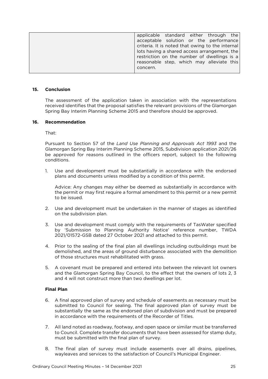| applicable standard either through the           |  |  |
|--------------------------------------------------|--|--|
| acceptable solution or the performance           |  |  |
| criteria. It is noted that owing to the internal |  |  |
| lots having a shared access arrangement, the     |  |  |
| restriction on the number of dwellings is a      |  |  |
| reasonable step, which may alleviate this        |  |  |
| concern.                                         |  |  |
|                                                  |  |  |

### **15. Conclusion**

The assessment of the application taken in association with the representations received identifies that the proposal satisfies the relevant provisions of the Glamorgan Spring Bay Interim Planning Scheme 2015 and therefore should be approved. Spring Bay Interim Planning Scheme 2015 and therefore should be approved.

#### $16<sup>1</sup>$ **Recommendation 16. Recommendation**

That<sup>.</sup>

Pursuant to Section 57 of the *Land Use Planning and Approvals Act 1993* and the  $\frac{1}{\sqrt{2}}$  substitution  $\frac{1}{\sqrt{2}}$  interimplant in the officers report subject to the following be approved for reasons outlined in the officers report, subject to the following conditions.

 $\mathbf{1}$ Use and development must be substantially in accordance with the endorsed plans and documents unless modified by a condition of this permit. plans and documents unless modified by a condition of this permit.

the permit or may first require a formal amendment to this permit or a new permit  $t \circ \text{h}_2$  for may first require a formal amendment to the second

- 2. Use and development must be undertaken in the manner of stages as identified on the subdivision plan.
- 3. Use and development must comply with the requirements of TasWater specified<br>by 'Submission to Planning Authority Notice' reference number. TWDA 2021/01572-GSB dated 27 October 2021 and attached to this permit. 2021/01572-GSB dated 27 October 2021 and attached to this permit.
- 4. Prior to the sealing of the final plan all dwellings including outbuildings must be demolished, and the areas of ground disturbance associated with the demolition of those structures must rehabilitated with grass. of those structures must rehabilitated with grass.
- 5. A covenant must be prepared and entered into between the relevant lot owners and the Glamorgan Spring Bay Council, to the effect that the owners of lots 2, 3 and 4 will not construct more than two dwellings per lot. and 4 will not construct more than two dwellings per lot.

#### **Final Plan**

- 6. A final approved plan of survey and schedule of easements as necessary must be substantially the same as the endorsed plan of subdivision and must be prepared in accordance with the requirements of the Becorder of Titles in accordance with the requirements of the Recorder of Titles.
- 7. All land noted as roadway, footway, and open space or similar must be transferred must be submitted with the final plan of survey. must be submitted with the final plan of survey.
- way easily and plant plant of the satisfaction of Council's Municipal Engineer wayleaves and services to the satisfaction of Council's Municipal Engineer.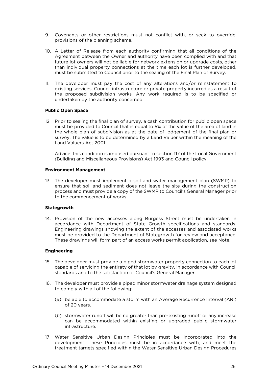- 9. Covenants or other restrictions must not conflict with, or seek to override, provisions of the planning scheme.
- 10. A Letter of Release from each authority confirming that all conditions of the Agreement between the Owner and authority have been complied with and that future lot owners will not be liable for network extension or upgrade costs, other than individual property connections at the time each lot is further developed. must be submitted to Council prior to the sealing of the Final Plan of Survey. must be submitted to Council prior to the sealing of the Final Plan of Survey.
- 11. The developer must pay the cost of any alterations and/or reinstatement to existing services, Council infrastructure or private property incurred as a result of the proposed subdivision works. Any work required is to be specified or undertaken by the authority concerned. undertaken by the authority concerned.

#### **Public Open Space**

12. Prior to sealing the final plan of survey, a cash contribution for public open space must be provided to Council that is equal to 5% of the value of the area of land in the whole plan of subdivision as at the date of lodgement of the final plan or survey. The value is to be determined by a Land Valuer within the meaning of the Land Valuers Act 2001. Land Valuers Act 2001.

Advice: this condition is imposed pursuant to section 117 of the Local Government (Building and Miscellaneous Provisions) Act 1993 and Council policy. (Building and Miscellaneous Provisions) Act 1993 and Council policy.

#### **Environment Management**

13. The developer must implement a soil and water management plan (SWMP) to ensure that soil and sediment does not leave the site during the construction process and must provide a copy of the SWMP to Council's General Manager prior to the commencement of works. to the commencement of works.

### **Stategrowth**

14. Provision of the new accesses along Burgess Street must be undertaken in accordance with Department of State Growth specifications and standards. Engineering drawings showing the extent of the accesses and associated works. must be provided to the Department of Stategrowth for review and acceptance. These drawings will form part of an access works permit application, see Note. These drawings will form part of an access works permit application, see Note.

#### **Engineering**

- 15. The developer must provide a piped stormwater property connection to each lot capable of servicing the entirety of that lot by gravity, in accordance with Council capable of service of the entirety of  $\epsilon$  of the entirety of that local dependence  $\epsilon$  and  $\epsilon$  and  $\epsilon$  the entirety of  $\epsilon$  of  $\epsilon$  on  $\epsilon$ . Council's General Manager standards and to the satisfaction of Council's General Manager.
- 16. The developer must provide a piped minor stormwater drainage system designed to comply with all of the following:
	- (a) be able to accommodate a storm with an Average Recurrence Interval (ARI) of 20 years.
	- $\epsilon$  can be accommodated within existing or unoraded public stormwater can be accommodated within existing or upgraded public stormwater infrastructure infrastructure.
- 17. Water Sensitive Urban Design Principles must be incorporated into the development. These Principles must be in accordance with, and meet the treatment targets specified within the Water Sensitive Urban Design Procedures treatment targets specified within the Water Sensitive Urban Design Procedures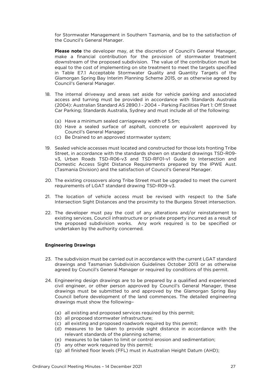for Stormwater Management in Southern Tasmania, and be to the satisfaction of the Council's General Manager.

**Please note** the developer may, at the discretion of Council's General Manager, make a financial contribution for the provision of stormwater treatment downstream of the proposed subdivision. The value of the contribution must be equal to the cost of implementing on site treatment to meet the targets specified in Table E7.1 Acceptable Stormwater Quality and Quantity Targets of the Glamorgan Spring Bay Interim Planning Scheme 2015, or as otherwise agreed by Council's General Manager. Council's General Manager.

- 18. The internal driveway and areas set aside for vehicle parking and associated access and turning must be provided in accordance with Standards Australia (2004): Australian Standard AS 2890.1 - 2004 - Parking Facilities Part 1: Off Street Car Parking: Standards Australia. Sydney and must include all of the following: Car Parking; Standards Australia, Sydney and must include all of the following:
	-
	- (a) Have a minimum sealed carriageway width of 5.5m;<br>(b) Have a sealed surface of asphalt, concrete or equivalent approved by Council's General Manager;
	- Re Drained to an annroved  $\mathcal{C}$  be drained to an approximate system;
- 19. Sealed vehicle accesses must located and constructed for those lots fronting Tribe v3, Urban Roads TSD-R06-v3 and TSD-RF01-v1 Guide to Intersection and Domestic Access Sight Distance Requirements prepared by the IPWE Aust.  $\overline{D}$  Domestic Access Signal and the statistic Access  $\overline{D}$  Council's General Manager (Tasmania Division) and the satisfaction of Council's General Manager.
- 20. The existing crossovers along Tribe Street must be upgraded to meet the current requirements of LGAT standard drawing TSD-R09-v3. requirements of LGAT standard drawing TSD-R09-v3.
- 21. The location of vehicle access must be revised with respect to the Safe Intersection Sight Distances and the proximity to the Burgess Street intersection. Intersection Sight Distances and the proximity to the Burgess Street intersection.
- 22. The developer must pay the cost of any alterations and/or reinstatement to existing services, Council infrastructure or private property incurred as a result of the proposed subdivision works. Any work required is to be specified or the proposed subdivision works. Any work required is to be specified in any work required is to be specified or undertaken by the authority concerned.

### **Engineering Drawings**

- 23. The subdivision must be carried out in accordance with the current LGAT standard drawings and Tasmanian Subdivision Guidelines October 2013 or as otherwise agreed by Council's General Manager or required by conditions of this permit. agreed by Council's General Manager or required by conditions of this permit.
- 24. Engineering design drawings are to be prepared by a qualified and experienced civil engineer, or other person approved by Council's General Manager, these drawings must be submitted to and approved by the Glamorgan Spring Bay Council before development of the land commences. The detailed engineering  $C$  council behove development of the followingdrawings must show the following–
	- (a) all existing and proposed services required by this permit;<br>(b) all proposed stormwater infrastructure:
	-
	- (c) all existing and proposed roadwork required by this permit;
	- (d) measures to be taken to provide sight distance in accordance with the relevant standards of the planning scheme;
	- (e) measures to be taken to limit or control erosion and sedimentation;
	- (f) any other work required by this permit;
	- (r) any other more required by the permit;<br>(d) all finished floor levels (EEL) must in Au  $(9)$  all finished floor levels (FFL) must in Australian Height Datum (AHD);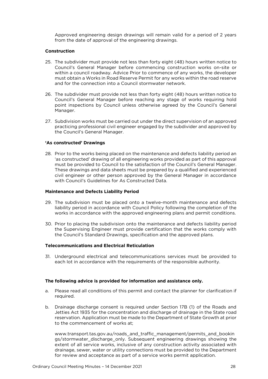Approved engineering design drawings will remain valid for a period of 2 years from the date of approval of the engineering drawings. from the date of approval of the engineering drawings.

#### Construction **Construction**

- 25. The subdivider must provide not less than forty eight (48) hours written notice to<br>Council's General Manager before commencing construction works on-site or within a council roadway. Advice Prior to commence of any works, the developer must obtain a Works in Road Reserve Permit for any works within the road reserve and for the connection into a Council stormwater network. and for the connection into a Council stormwater network.
- 26. The subdivider must provide not less than forty eight (48) hours written notice to point inspections by Council unless otherwise agreed by the Council's General point inspections by Council unless otherwise agreed by the Council's General Manager.
- 27. Subdivision works must be carried out under the direct supervision of an approved practicing professional civil engineer engaged by the subdivider and approved by the Council's General Manager. the Council's General Manager.

### **'As constructed' Drawings**

28. Prior to the works being placed on the maintenance and defects liability period an 'as constructed' drawing of all engineering works provided as part of this approval must be provided to Council to the satisfaction of the Council's General Manager. These drawings and data sheets must be prepared by a qualified and experienced civil engineer or other person approved by the General Manager in accordance with Council's Guidelines for As Constructed Data. with Council is Guidelines for As Council in As Council in As Council in As Council in As Council in As Council<br>.

### **Maintenance and Defects Liability Period**

- 29. The subdivision must be placed onto a twelve-month maintenance and defects liability period in accordance with Council Policy following the completion of the  $\frac{1}{\sqrt{C}}$  is accordance with the approved engineering plans and permit conditions works in accordance with the approved engineering plans and permit conditions.
- 30. Prior to placing the subdivision onto the maintenance and defects liability period<br>the Supervising Engineer must provide certification that the works comply with the Council's Standard Drawings, specification and the approved plans. the Council's Standard Drawings, specification and the approved plans.

#### **Telecommunications and Electrical Reticulation Telecommunications and Electrical Reticulation**

 $\frac{1}{2}$  and the accordance with the requirements of the responsible authority each lot in accordance with the requirements of the responsible authority.

### **The following advice is provided for information and assistance only.**

- $\lambda$  $\alpha$ . Please read all conditions of this permit and contact the planner for clarification is required.
- b. Drainage discharge consent is required under Section 17B (1) of the Roads and reservation. Application must be made to the Department of State Growth at prior to the commencement of works at:  $t \sim t$  to the commencement of works at  $\mathcal{L}$

www.transport.tas.gov.au/roads\_and\_traffic\_management/permits\_and\_bookin<br>gs/stormwater\_discharge\_only. Subsequent engineering drawings showing the extent of all service works, inclusive of any construction activity associated with drainage, sewer, water or utility connections must be provided to the Department for review and acceptance as part of a service works permit application for review and acceptance as part of a service works permit application.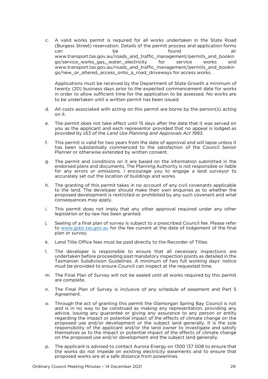$\mathcal{C}$ A valid works permit is required for all works undertaken in the State Road (Burgess Street) reservation. Details of the permit process and application forms  $\begin{array}{c} \text{SVD} \\ \text{SVD} \end{array}$  reserves the permit process  $\begin{array}{c} \text{formula} \\ \text{probability} \end{array}$ www.transport.tas.gov.au/roads\_and\_traffic\_management/permits\_and\_bookin gs/service works gas, water, electricity for service works and www.transport.tas.gov.au/roads and traffic management/permits and bookin gs/new or altered access onto a road driveways for access works. gs/new\_or\_altered\_access\_onto\_a\_road\_driveways for access works.

Applications must be received by the Department of State Growth a minimum of twenty (20) business days prior to the expected commencement date for works in order to allow sufficient time for the application to be assessed. No works are  $\frac{1}{10}$  be undertaken until a written permit has been issued. to be undertaken until a written permit has been issued.

- $\alpha$  as sociated with a costs associated with a costs are by the person on the person by the person of  $\alpha$ on it.
- The permit does not take effect until 15 days after the date that it was served on you as the applicant and each representor provided that no appeal is lodged as  $\epsilon$ provided by  $s53$  of the Land Use Planning and Approvals Act 1993. provided by s53 of the *Land Use Planning and Approvals Act 1993*.
- $f$ This permit is valid for two years from the date of approval and will lapse unless it has been substantially commenced to the satisfaction of the Council Senior Planner or otherwise extended by written consent. Planner or otherwise extended by written consent.
- g. The permit and conditions on it are based on the information submitted in the endorsed plans and documents. The Planning Authority is not responsible or liable for any errors or omissions. I encourage you to engage a land surveyor to accurately set out the location of buildings and works. accurately set out the location of buildings and works.
- The granting of this permit takes in no account of any civil covenants applicable<br>to the land. The developer should make their own enguiries as to whether the h. proposed development is restricted or prohibited by any such covenant and what consequences may apply. consequences may apply.
- i.  $i$ . The permit does not imply that any other approximated under a provided under a point  $i$  required under any other any other any other any other any other any other any other any other any other any other any other an legislation or by-law has been granted.
- $\frac{1}{2}$  for a final plan of the final plan of the final plan of subject to a prescribed  $\frac{1}{2}$  for the final for the fee current at the date of lodgement of the final  $\frac{1}{\sqrt{2}}$ plan or survey.
- k. k. Land Title Office fees must be paid directly to the Recorder of Titles.
- l. The developer is responsible to ensure that all necessary inspections are Tasmanian Subdivision Guidelines. A minimum of two full working days' notice must be provided to ensure Council can inspect at the requested time. must be provided to ensure Council can inspect at the requested time.
- m. The Final Plan of Survey will not be sealed until all works required by this permit are complete.
- $n$ The Final Plan of Survey is inclusive of any schedule of easement and Part 5<br>Agreement. Agreement.
- o. Through the act of granting this permit the Glamorgan Spring Bay Council is not and is in no way to be construed as making any representation, providing any advice, issuing any guarantee or giving any assurance to any person or entity regarding the impact or potential impact of the effects of climate change on the proposed use and/or development or the subject land generally. It is the sole responsibility of the applicant and/or the land owner to investigate and satisfy themselves as to the impact or potential impact of the effects of climate change on the proposed use and/or development and the subject land generally. on the proposed use and/or development and the subject land generally.
- p. The applicant is advised to contact Aurora Energy on 1300 137 008 to ensure that proposed works are at a safe distance from powerlines. proposed works are at a safe distance from powerlines.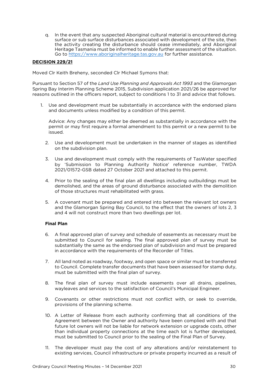q. In the event that any suspected Aboriginal cultural material is encountered during the activity creating the disturbance should cease immediately, and Aboriginal Heritage Tasmania must be informed to enable further assessment of the situation. Go to https://www.aboriginalheritage tas gov au for further assistance. Go to https://www.aboriginalheritage.tas.gov.au for further assistance.

## **DECISION 229/21**

Moved Clr Keith Breheny, seconded Clr Michael Symons that:

Pursuant to Section 57 of the *Land Use Planning and Approvals Act 1993* and the Glamorgan reasons outlined in the officers report, subject to conditions 1 to 31 and advice that follows. reasons outlined in the officers report, subject to conditions 1 to 31 and advice that follows.

 $\frac{1}{100}$  and documents unless modified by a condition of this permit and documents unless modified by a condition of this permit.

Advice: Any changes may either be deemed as substantially in accordance with the permit or may first require a formal amendment to this permit or a new permit to be permit or may first require a formal amendment to this permit or a new permit or a new permit to be a new permit to be a new permit to be a new permit to be a new permit to be a new permit to be a new permit to be a new pe

- 2. Use and development must be undertaken in the manner of stages as identified on the subdivision plan. on the subdivision plan.
- 3. Use and development must comply with the requirements of TasWater specified<br>by 'Submission to Planning Authority Notice' reference number, TWDA  $\frac{1}{2021/01572}$  GSB dated 27 October 2021 and attached to this permit 2021/01572-GSB dated 27 October 2021 and attached to this permit.
- 4. Prior to the sealing of the final plan all dwellings including outbuildings must be demolished, and the areas of ground disturbance associated with the demolition of those structures must rehabilitated with grass. of those structures must rehabilitated with grass.
- 5. A covenant must be prepared and entered into between the relevant lot owners and 4 will not construct more than two dwellings per lot and 4 will not construct more than two dwellings per lot.

- 6. A final approved plan of survey and schedule of easements as necessary must be substantially the same as the endorsed plan of subdivision and must be prepared in accordance with the requirements of the Recorder of Titles. in accordance with the requirements of the Recorder of Titles.
- 7. All land noted as roadway, footway, and open space or similar must be transferred to contain the Council method with the final plan of survey must be submitted with the final plan of survey.
- $\frac{1}{2}$ . The final plant of survey must include the surfaction of  $\frac{1}{2}$  Municipal Engineer wayleaves and services to the satisfaction of Council's Municipal Engineer.
- 9. Covenants or other restrictions must not conflict with, or seek to override, provisions of the planning scheme. provisions of the planning scheme.
- 10. A Letter of Release from each authority confirming that all conditions of the Agreement between the Owner and authority have been complied with and that future lot owners will not be liable for network extension or upgrade costs, other than individual property connections at the time each lot is further developed,  $t$  in the submitted to Council prior to the sealing of the Einal Plan of Survey must be submitted to Council prior to the sealing of the Final Plan of Survey.
- $\frac{1}{10}$  avisting services. Council infrastructure or private property incurred as a result of existing services, Council infrastructure or private property incurred as a result of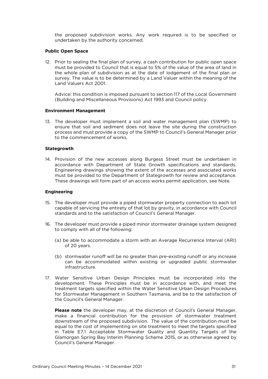the proposed subdivision works. Any work required is to be specified or undertaken by the authority concerned. undertaken by the authority concerned.

## **Public Open Space**

12. Prior to sealing the final plan of survey, a cash contribution for public open space must be provided to Council that is equal to 5% of the value of the area of land in the whole plan of subdivision as at the date of lodgement of the final plan or survey. The value is to be determined by a Land Valuer within the meaning of the Land Valuers Act 2001. Land Valuers Act 2001.

Advice: this condition is imposed pursuant to section 117 of the Local Government (Building and Miscellaneous Provisions) Act 1993 and Council policy. (Building and Miscellaneous Provisions) Act 1993 and Council policy.

#### **Environment Management**

13. The developer must implement a soil and water management plan (SWMP) to ensure that soil and sediment does not leave the site during the construction process and must provide a copy of the SWMP to Council's General Manager prior to the commencement of works. to the commencement of works.

### **Stategrowth**

14. Provision of the new accesses along Burgess Street must be undertaken in accordance with Department of State Growth specifications and standards. Engineering drawings showing the extent of the accesses and associated works. must be provided to the Department of Stategrowth for review and acceptance. must be provided to the provided to the Department of  $\alpha$  review  $\alpha$  review  $\alpha$  review and  $\alpha$  review  $\alpha$  review  $\alpha$  review  $\alpha$  review  $\alpha$  review  $\alpha$  review  $\alpha$  review  $\alpha$  review  $\alpha$  review  $\alpha$  review  $\alpha$  re These drawings will form part of an access works permit application, see Note.

### **Engineering**

- 15. The developer must provide a piped stormwater property connection to each lot capable of servicing the entirety of that lot by gravity, in accordance with Council standards and to the satisfaction of Council's General Manager. standards and to the satisfaction of Council's General Manager.
- 16. The developer must provide a piped minor stormwater drainage system designed<br>to comply with all of the following: to comply with all of the following:
	- (a) be able to accommodate a storm with an Average Recurrence Interval (ARI) of 20 years.
	- (b) stormwater runoff will be no greater than pre-existing runoff or any increase can be accommodated within existing or upgraded public stormwater in frastructure. infrastructure.
- 17. Water Sensitive Urban Design Principles must be incorporated into the development. These Principles must be in accordance with, and meet the treatment targets specified within the Water Sensitive Urban Design Procedures for Stormwater Management in Southern Tasmania, and be to the satisfaction of the Council's General Manager. the Council's General Manager.

**Please note** the developer may, at the discretion of Council's General Manager, make a financial contribution for the provision of stormwater treatment downstream of the proposed subdivision. The value of the contribution must be equal to the cost of implementing on site treatment to meet the targets specified in Table E7.1 Acceptable Stormwater Quality and Quantity Targets of the Glamorgan Spring Bay Interim Planning Scheme 2015, or as otherwise agreed by Council's General Manager. Council's General Manager.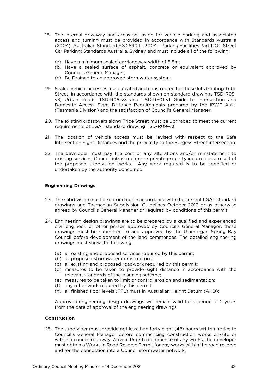- 18. The internal driveway and areas set aside for vehicle parking and associated (2004): Australian Standard AS 2890.1 - 2004 - Parking Facilities Part 1: Off Street Car Parking: Standards Australia. Sydney and must include all of the following: Car Parking; Standards Australia, Sydney and must include all of the following:
	-
	- $\frac{1}{2}$  Have a sealed surface of asphalt concrete or  $\frac{1}{2}$  $\sum_{i=1}^{\infty}$  Have a sealed surface of asphalt, concrete or equivalent approved by Council's General Manager;<br>(c) Be Drained to an approved stormwater system;
	- $\left( \cdot \right)$  Be Dramit to an approved stormwater system;
- 19. Sealed vehicle accesses must located and constructed for those lots fronting Tribe v3, Urban Roads TSD-R06-v3 and TSD-RF01-v1 Guide to Intersection and Domestic Access Sight Distance Requirements prepared by the IPWE Aust.  $\sigma$  Domania Division) and the satisfaction of Council's General Manager (Tasmania Division) and the satisfaction of Council's General Manager.
- 20. The existing crossovers along Tribe Street must be upgraded to meet the current requirements of LGAT standard drawing TSD-R09-v3. requirements of LGAT standard drawing TSD-R09-v3.
- 21. The location of vehicle access must be revised with respect to the Safe Intersection Sight Distances and the proximity to the Burgess Street intersection. Intersection Sight Distances and the proximity to the Burgess Street intersection.
- 22. The developer must pay the cost of any alterations and/or reinstatement to existing services, Council infrastructure or private property incurred as a result of the proposed subdivision works. Any work required is to be specified or  $\frac{1}{2}$  the proposed subdivision works. Any work required is to be specified or  $\frac{1}{2}$  and  $\frac{1}{2}$  or  $\frac{1}{2}$  and  $\frac{1}{2}$  and  $\frac{1}{2}$  and  $\frac{1}{2}$  and  $\frac{1}{2}$  and  $\frac{1}{2}$  and  $\frac{1}{2}$  and  $\frac{1}{2}$  and undertaken by the authority concerned.

#### **Engineering Drawings Engineering Drawings**

- 23. The subdivision must be carried out in accordance with the current LGAT standard drawings and Tasmanian Subdivision Guidelines October 2013 or as otherwise agreed by Council's General Manager or required by conditions of this permit. agreed by Council's General Manager or required by conditions of this permit.
- 24. Engineering design drawings are to be prepared by a qualified and experienced civil engineer, or other person approved by Council's General Manager, these drawings must be submitted to and approved by the Glamorgan Spring Bay Council before development of the land commences. The detailed engineering  $C$  council behove development of the followingdrawings must show the following–
	- (a) all existing and proposed services required by this permit;<br>(b) all proposed stormwater infrastructure;
	-
	- $(c)$  all existing and proposed roadwork required by this permit:
	- (d) measures to be taken to provide sight distance in accordance with the relevant standards of the planning scheme:
	- (e) measures to be taken to limit or control erosion and sedimentation;
	- (f) any other work required by this permit;
	- $\frac{1}{2}$  and  $\frac{1}{2}$  finished floor levels (FFI) must in  $\Delta$ (g) all finished floor levels (Fig. ) must in Australian Height Datum (AHD);

 $A$  approved of the engineering drawings  $\alpha$ from the date of approval of the engineering drawings.

#### **Construction Construction**

25. The subdivider must provide not less than forty eight (48) hours written notice to within a council roadway. Advice Prior to commence of any works, the developer must obtain a Works in Road Reserve Permit for any works within the road reserve and for the connection into a Council stormwater network. and for the connection into a Council stormwater network.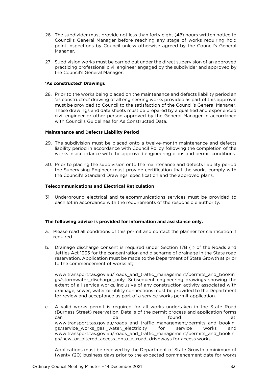- 26. The subdivider must provide not less than forty eight (48) hours written notice to point inspections by Council unless otherwise agreed by the Council's General point inspections by Council unless otherwise agreed by the Council's General Manager.
- 27. Subdivision works must be carried out under the direct supervision of an approved the Council's General Manager. the Council's General Manager.

### **'As constructed' Drawings**

28. Prior to the works being placed on the maintenance and defects liability period an 'as constructed' drawing of all engineering works provided as part of this approval must be provided to Council to the satisfaction of the Council's General Manager. These drawings and data sheets must be prepared by a qualified and experienced civil engineer or other person approved by the General Manager in accordance with Council's Guidelines for As Constructed Data. with Council is Guidelines for As Council in As Council in As Council in As Council in As Council in As Council<br>.

## **Maintenance and Defects Liability Period**

- 29. The subdivision must be placed onto a twelve-month maintenance and defects liability period in accordance with Council Policy following the completion of the  $\frac{1}{2}$  lines in accordance with the approved engineering plans and permit conditions which is according to a positive with the approved engineering plans and permit conditions.
- 30. Prior to placing the subdivision onto the maintenance and defects liability period<br>the Supervising Engineer must provide certification that the works comply with the Council's Standard Drawings, specification and the approved plans.  $\frac{1}{\sqrt{2}}$  Standard Drawings, specification and the approximation and the approximation and the approximation and the approximation and the approximation and the approximation and the approximation  $\frac{1}{\sqrt{2}}$

#### **Telecommunications and Electrical Reticulation Telecommunications and Electrical Reticulation**

 $\frac{1}{2}$  and the accordance with the requirements of the responsible authority each lot in accordance with the requirements of the responsible authority.

#### **The following advice is provided for information and assistance only.**

- a. Please read all conditions of this permit and contact the planner for clarification if required.
- b. Drainage discharge consent is required under Section 17B (1) of the Roads and reservation. Application must be made to the Department of State Growth at prior to the commencement of works at:  $t \sim t$  to the commencement of works at  $\mathcal{L}$

www.transport.tas.gov.au/roads\_and\_traffic\_management/permits\_and\_bookin<br>gs/stormwater\_discharge\_only.\_Subsequent\_engineering\_drawings\_showing\_the extent of all service works, inclusive of any construction activity associated with drainage, sewer, water or utility connections must be provided to the Department for review and acceptance as part of a service works permit application for review and acceptance as part of a service works permit application.

c. A valid works permit is required for all works undertaken in the State Road  $\sum_{n=0}^{\infty}$  street street) reservation. Details of the permit process and application forms  $\frac{1}{2}$ can can be be the found found found traffic management/permits and bookin gs/service works gas. water. electricity for service works and www.transport.tas.gov.au/roads\_and\_traffic\_management/permits\_and\_bookin  $\alpha$  /row or altered access onto a road driveways for access works gs/new\_or\_altered\_access\_onto\_a\_road\_driveways for access works.

twenty (20) business days prior to the expected commencement date for works twenty (20) business days prior to the expected commencement date for works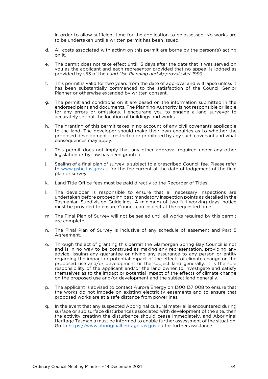in order to allow sufficient time for the application to be assessed. No works are to be undertaken until a written permit has been issued. to be undertaken until a written permit has been issued.

- d. All costs associated with acting on this permit are borne by the person(s) acting on it.
- The permit does not take effect until 15 days after the date that it was served on you as the applicant and each representor provided that no appeal is lodged as  $e<sub>1</sub>$ provided by s53 of the Land Use Planning and Approvals Act 1993. provided by s53 of the *Land Use Planning and Approvals Act 1993*.
- This permit is valid for two years from the date of approval and will lapse unless it has been substantially commenced to the satisfaction of the Council Senior  $f$ Planner or otherwise extended by written consent. Planner or otherwise extended by written consent.
- The permit and conditions on it are based on the information submitted in the  $\alpha$ endorsed plans and documents. The Planning Authority is not responsible or liable for any errors or omissions. I encourage you to engage a land surveyor to accurately set out the location of buildings and works. accurately set out the location of buildings and works.
- h. The granting of this permit takes in no account of any civil covenants applicable proposed development is restricted or prohibited by any such covenant and what consequences may apply. consequences may apply.
- i. i. This permit does not imply that approval required under any other any other approval required under any other any other any other any other approval required legislation or by-law has been granted.
- j. S[ealing of a final plan of](http://www.gsbc.tas.gov.au/) survey is subject to a prescribed Council fee. Please refer plan or survey. plan or survey.
- k k. Land Title Office fees must be paid directly to the Recorder of Titles.
- $\mathbf{L}$ The developer is responsible to ensure that all necessary inspections are undertaken before proceeding past mandatory inspection points as detailed in the Tasmanian Subdivision Guidelines. A minimum of two full working days' notice must be provided to ensure Council can inspect at the requested time. must be provided to ensure Council can inspect at the requested time.
- m. The Final Plan of Survey will not be sealed until all works required by this permit are complete.
- The Final Plan of Survey is inclusive of any schedule of easement and Part 5<br>Agreement.  $n$ Agreement.
- o. Through the act of granting this permit the Glamorgan Spring Bay Council is not advice, issuing any guarantee or giving any assurance to any person or entity regarding the impact or potential impact of the effects of climate change on the proposed use and/or development or the subject land generally. It is the sole responsibility of the applicant and/or the land owner to investigate and satisfy themselves as to the impact or potential impact of the effects of climate change on the proposed use and/or development and the subject land generally. on the proposed use and/or development and the subject land generally.
- The applicant is advised to contact Aurora Energy on 1300 137 008 to ensure that the works do not impede on existing electricity easements and to ensure that  $D<sub>1</sub>$  $t$  or  $\frac{1}{2}$  or  $\frac{1}{2}$  is the  $\frac{1}{2}$  in easement of  $\frac{1}{2}$  and to ensure that is ensured to ensure that  $\frac{1}{2}$  is the ensure that  $\frac{1}{2}$  is the ensure that  $\frac{1}{2}$  is the ensure that  $\frac{1}{2}$  is the proposed works are at a safe distance from powerlines.
- In the event that any suspected Aboriginal cultural material is encountered during surface or sub surface disturbances associated with development of the site, then  $\Omega$ . the activity creating the disturbance should cease immediately, and Aboriginal Heritage Tasmania must be informed to enable further assessment of the situation.  $\frac{1}{100}$  to the informed to enable further assistance.  $\frac{f(t) - f(t)}{f(t)}$  is the furthermore, furthermore, furthermore,  $\frac{f(t) - f(t)}{f(t)}$  is the further assistance.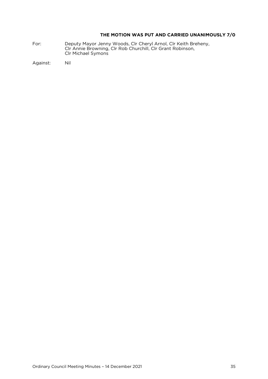### **THE MOTION WAS PUT AND CARRIED UNANIMOUSLY 7/0**

Fort: Deputy Mayor Jenny Mayor Jenny Clr Annie Browning. Clr Rob Churchill. Clr Grant Robinson. Clr Michael Symons Clr Michael Symons

Against: Nil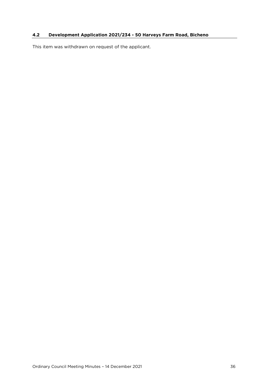### <span id="page-35-0"></span>**4.2 Development Application 2021/234 - 50 Harveys Farm Road, Bicheno**

This item was withdrawn on request of the applicant.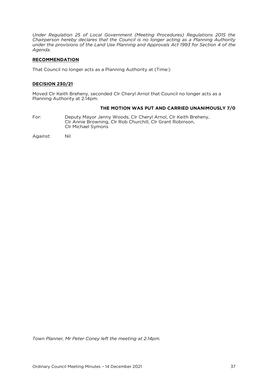*Under Regulation 25 of Local Government (Meeting Procedures) Regulations 2015 the Chairperson hereby declares that the Council is no longer acting as a Planning Authority under the provisions of the Land Use Planning and Approvals Act 1993 for Section 4 of the Agenda.* 

#### **RECOMMENDATION**

That Council no longer acts as a Planning Authority at (Time:)

#### **DECISION 230/21**

Moved Clr Keith Breheny, seconded Clr Cheryl Arnol that Council no longer acts as a Planning Authority at 2.14pm.

#### **THE MOTION WAS PUT AND CARRIED UNANIMOUSLY 7/0**

For: Deputy Mayor Jenny Woods, Clr Cheryl Arnol, Clr Keith Breheny, Clr Annie Browning, Clr Rob Churchill, Clr Grant Robinson, Clr Michael Symons Clr Michael Symons

Against: Nil

*Town Planner, Mr Peter Coney left the meeting at 2.14pm.*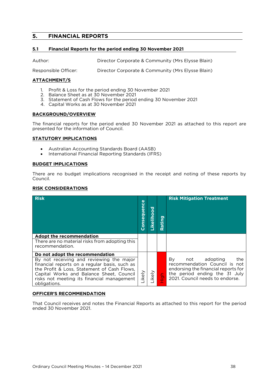#### <span id="page-37-0"></span> $5.$ **5. FINANCIAL REPORTS**

### <span id="page-37-1"></span>**5.1 Financial Reports for the period ending 30 November 2021**

Author: Director Corporate & Community (Mrs Elysse Blain)

Responsible Officer: Director Corporate & Community (Mrs Elysse Blain)

### **ATTACHMENT/S**

- 1. Profit & Loss for the period ending 30 November 2021<br>2. Balance Sheet as at 30 November 2021
- 
- 3. Statement of Cash Flows for the period ending 30 November 2021
- 3. Statement of Cash Flows for the period ending 30 November 2021 4. Capital Works as at 30 November 2021

#### **BACKGROUND/OVERVIEW**

The financial reports for the period ended 30 November 2021 as attached to this report are presented for the information of Council. presented for the information of Council.

#### **STATUTORY IMPLICATIONS**

- Australian Accounting Standards Board (AASB)
- International Financial Reporting Standards (IFRS)

#### **BUDGET IMPLICATIONS**

There are no budget implications recognised in the receipt and noting of these reports by Council. Council.

#### **RISK CONSIDERATIONS**

| <b>Risk</b>                                                                                                                                                                                                                                                                           | Consequence | Likelihood | ating         | <b>Risk Mitigation Treatment</b>                                                                                                                                         |
|---------------------------------------------------------------------------------------------------------------------------------------------------------------------------------------------------------------------------------------------------------------------------------------|-------------|------------|---------------|--------------------------------------------------------------------------------------------------------------------------------------------------------------------------|
| <b>Adopt the recommendation</b><br>There are no material risks from adopting this<br>recommendation.                                                                                                                                                                                  |             |            |               |                                                                                                                                                                          |
| Do not adopt the recommendation<br>By not receiving and reviewing the major<br>financial reports on a regular basis, such as<br>the Profit & Loss, Statement of Cash Flows,<br>Capital Works and Balance Sheet, Council<br>risks not meeting its financial management<br>obligations. | ikely       | ikely      | $\frac{1}{1}$ | By<br>adopting<br>the<br>not<br>recommendation Council is not<br>endorsing the financial reports for<br>the period ending the 31 July<br>2021. Council needs to endorse. |

## **OFFICER'S RECOMMENDATION**

That Council receives and notes the Financial Reports as attached to this report for the period ended 30 November 2021.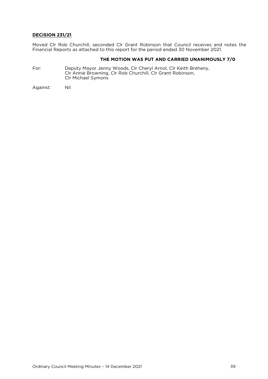### **DECISION 231/21**

Financial Reports as attached to this report for the period ended  $30$  November 2021. Financial Reports as attached to this report for the period ended 30 November 2021.

#### **THE MOTION WAS PUT AND CARRIED UNANIMOUSLY 7/0**

For: Deputy Mayor Jenny Woods, Clr Cheryl Arnol, Clr Keith Breheny,<br>Clr Annie Browning, Clr Rob Churchill, Clr Grant Robinson, Clr Annie Browning, Clr Rob Churchill, Clr Grant Robinson, Clr Michael Symons

Against: Nil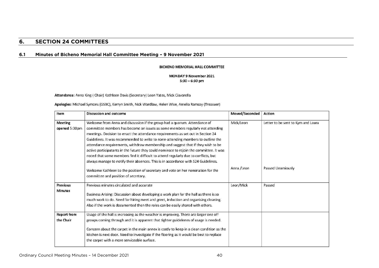## **6. SECTION 24 COMMITTEES**

### **6.1 Minutes of Bicheno Memorial Hall Committee Meeting – 9 November 2021**

#### **BICHENO MEMORIAL HALL COMMITTEE**

MONDAY 9 November 2021  $5:30 - 6:30$  pm

Attendance: Anna King ( Chair) Kathleen Davis (Secretary) Leon Yates, Mick Ciavarella

Apologies: Michael Symons (GSBC), Kerryn Smith, Nick Wardlaw, Helen Wise, Amelia Ramsay (Treasuer)

<span id="page-39-1"></span><span id="page-39-0"></span>

| Item                              | <b>Discussion and outcome</b>                                                                                                                                                                                                                                                                                                                                                                                                                                                                                                                                                                                                                                                                   | Moved/Seconded | Action                             |
|-----------------------------------|-------------------------------------------------------------------------------------------------------------------------------------------------------------------------------------------------------------------------------------------------------------------------------------------------------------------------------------------------------------------------------------------------------------------------------------------------------------------------------------------------------------------------------------------------------------------------------------------------------------------------------------------------------------------------------------------------|----------------|------------------------------------|
| <b>Meeting</b><br>opened 5:30pm   | Welcome from Anna and discussion if the group had a quorum. Attendance of<br>committee members has become an issues as some members regularly not attending<br>meetings. Decision to enact the attendance requirements as set out in Section 24<br>Guidelines. It was recommended to write to nonn-attending members to outline the<br>attendance requirements, withdraw membership and suggest that if they wish to be<br>active participatants in the future they could nominate to rejoin the committee. It was<br>noted that some members find it difficult to attend regularly due to conflicts, but<br>always manage to notify their absences. This is in accordance with S24 Guidelines. | Mick/Leon      | Letter to be sent to Kym and Laura |
|                                   | Welcome Kathleen to the position of secretary and vote on her nomination for the<br>committee and position of secretary.                                                                                                                                                                                                                                                                                                                                                                                                                                                                                                                                                                        | Anna / Leon    | Passed Unamiously                  |
| <b>Previous</b><br><b>Minutes</b> | Previous minutes circulated and accurate<br>Business Arising: Discussion about developing a work plan for the hall as there is so<br>much work to do. Need for hiring meet and greet, induction and organising cleaning.<br>Also if the work is documented then the roles can be easily shared with others.                                                                                                                                                                                                                                                                                                                                                                                     | Leon/Mick      | Passed                             |
| <b>Report from</b><br>the Chair   | Usage of the hall is increasing as the weather is improving. There are larger one off<br>groups coming through and it is apparent that tighter guidelenes of usage is needed.<br>Concern about the carpet in the main annex is costly to keep in a clean condition as the<br>kitchen is next door. Need to investigate if the flooring as it would be best to replace<br>the carpet with a more serviceable surface.                                                                                                                                                                                                                                                                            |                |                                    |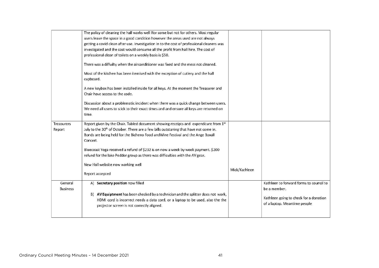|                            | The policy of cleaning the hall works well Ifor some but not for others. Most regular<br>users leave the space in a good condition however the areas used are not always<br>getting a covid clean after use. Investigation in to the cost of professional cleaners was<br>investigated and the cost would consume all the profit from hall hire. The cost of<br>professional clean of toilets on a weekly basis is \$50.<br>There was a diffuilty when the airconditioner was fixed and the mess not cleaned.<br>Most of the kitchen has been itemised with the exception of cutlery and the hall<br>cupboard.<br>A new keybox has been installed inside for all keys. At the moment the Treasurer and |               |                                                                                                                                   |
|----------------------------|--------------------------------------------------------------------------------------------------------------------------------------------------------------------------------------------------------------------------------------------------------------------------------------------------------------------------------------------------------------------------------------------------------------------------------------------------------------------------------------------------------------------------------------------------------------------------------------------------------------------------------------------------------------------------------------------------------|---------------|-----------------------------------------------------------------------------------------------------------------------------------|
| <b>Treasurers</b>          | Chair have access to the code.<br>Discussion about a problematic incident when there was a quick change between users.<br>We need all users to stick to their exact times and and ensure all keys are returned on<br>time.<br>Report given by the Chair. Tabled document showing receipts and expenditure from 1st                                                                                                                                                                                                                                                                                                                                                                                     |               |                                                                                                                                   |
| Report                     | July to the 30 <sup>th</sup> of October. There are a few bills outstaning that have not come in.<br>Bonds are being held for the Bicheno Food andWine Festival and the Ange Boxall<br>Concert.<br>Bluecoast Yoga received a refund of \$232 is on now a week by week payment. \$200<br>refund for the lake Pedder group as there was difficulties with the AV gear.<br>New Hall website now working well                                                                                                                                                                                                                                                                                               |               |                                                                                                                                   |
|                            | Report accepted                                                                                                                                                                                                                                                                                                                                                                                                                                                                                                                                                                                                                                                                                        | Mick/Kathleen |                                                                                                                                   |
| General<br><b>Business</b> | A) Secretary position now filled<br>B) AV Equiptment has been checked by a technician and the splitter does not work,<br>HDMI cord is incorrect needs a data cord, or a laptop to be used, also the the<br>projector screen is not correctly aligned.                                                                                                                                                                                                                                                                                                                                                                                                                                                  |               | Kathleen to forward forms to council to<br>be a member.<br>Kathleen going to check for a donation<br>of a laptop. Meantime people |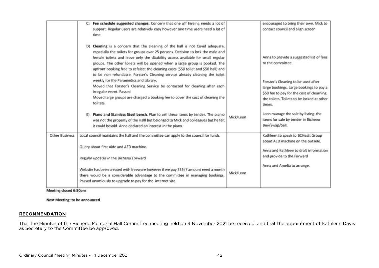|                       | Fee schedule suggested changes. Concern that one off hireing needs a lot of<br>support. Regular users are relatively easy however one time users need a lot of<br>time                                                                                                                                                                                                                                                                                                                                    |           | encouraged to bring their own. Mick to<br>contact council and align screen                                                                                                          |
|-----------------------|-----------------------------------------------------------------------------------------------------------------------------------------------------------------------------------------------------------------------------------------------------------------------------------------------------------------------------------------------------------------------------------------------------------------------------------------------------------------------------------------------------------|-----------|-------------------------------------------------------------------------------------------------------------------------------------------------------------------------------------|
|                       | D) Cleaning is a concern that the cleaning of the hall is not Covid adequate,<br>especially the toilets for groups over 25 persons. Decision to lock the male and<br>female toilets and leave only the disability access available for small regular<br>groups. The other toilets will be opened when a large group is booked. The<br>upfront booking free to refelect the cleaning costs (\$50 toilet and \$50 hall) and<br>to be non refundable. Forster's Cleaning service already cleaning the toilet |           | Anna to provide a suggested list of fees<br>to the committee                                                                                                                        |
|                       | weekly for the Paramedics and Library.<br>Moved that Forster's Cleaning Service be contacted for cleaning after each<br>irregular event. Passed<br>Moved large groups are charged a booking fee to cover the cost of cleaning the<br>toiltets.                                                                                                                                                                                                                                                            |           | Forster's Cleaning to be used after<br>large bookings. Large bookings to pay a<br>\$50 fee to pay for the cost of clearning<br>the toilets. Toilets to be locked at other<br>times. |
|                       | E) Piano and Stainless Steel bench. Plan to sell these items by tender. The pianio<br>was not the property of the Halll but belonged to Mick and colleagues but he felt<br>it could besold. Anna declared an interest in the piano.                                                                                                                                                                                                                                                                       | Mick/Leon | Leon manage the sale by listing the<br>items for sale by tender in Bicheno<br>Buy/Swap/Sell.                                                                                        |
| <b>Other Business</b> | Local council maintains the hall and the committee can apply to the council for funds.                                                                                                                                                                                                                                                                                                                                                                                                                    |           | Kathleen to speak to BCHealt Group<br>about AED machine on the outside.                                                                                                             |
|                       | Query about first Aide and AED machine.<br>Regular updates in the Bicheno Forward                                                                                                                                                                                                                                                                                                                                                                                                                         |           | Anna and Kathleen to draft information<br>and provide to the Forward                                                                                                                |
|                       | Website has been created with freeware however if we pay \$35 (? amount need a month<br>there would be a considerable advantage to the committee in managing bookings.<br>Passed unamiously to upgrade to pay for the internet site.                                                                                                                                                                                                                                                                      | Mick/Leon | Anna and Amelia to arrange.                                                                                                                                                         |

Meeting closed 6:50pm

**Next Meeting: to be announced** 

#### **RECOMMENDATION**

as Secretary to the Committee be approved, and that the approved, and that the approved, and the approved, and the approved, and the approved, and the approved, and the approved, and the approved, and the approved, and the as Secretary to the Committee be approved.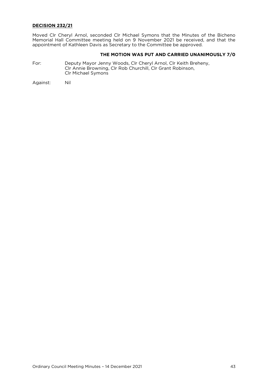### **DECISION 232/21**

Moved Clr Cheryl Arnol, seconded Clr Michael Symons that the Minutes of the Bicheno<br>Memorial Hall Committee meeting held on 9 November 2021 be received, and that the appointment of Kathleen Davis as Secretary to the Committee be approved. appointment of Kathleen Davis as Secretary to the Committee be approved.

# **THE MOTION WAS PUT AND CARRIED UNANIMOUSLY 7/0**<br>Deputy Mayor Jenny Woods, Clr Cheryl Arnol, Clr Keith Breheny,

For: Clr Annie Browning, Clr Rob Churchill, Clr Grant Robinson, Clr Michael Symons Clr Michael Symons

Nil Against: Nil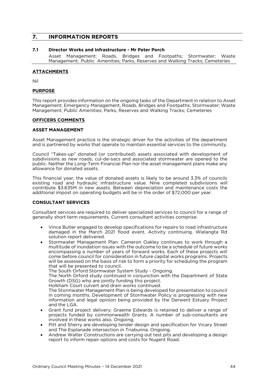#### <span id="page-43-0"></span> $\overline{7}$ . **INFORMATION REPORTS 7. INFORMATION REPORTS**

#### <span id="page-43-1"></span> $7.1$ Director Works and Infrastructure - Mr Peter Porch

Asset Management; Roads, Bridges and Footpaths; Stormwater; Waste Asset Management; Public, Amenities; Parks, Reserves and Walking Tracks; Cemeteries Management; Public Amenities; Parks, Reserves and Walking Tracks; Cemeteries

#### **ATTACHMENTS**

Nil

### **PURPOSE**

This report provides information on the ongoing tasks of the Department in relation to Asset<br>Management; Emergency Management, Roads, Bridges and Footpaths; Stormwater; Waste Management; Public Amenities; Parks, Reserves and Walking Tracks; Cemeteries Management; Public Amenities; Parks, Reserves and Walking Tracks; Cemeteries

### **OFFICERS COMMENTS**

 $A$  and is partnered by works that operate to maintain essential services to the community. and is partnered by works that operate to maintain essential services to the community.

Council "Takes-up" donated (or contributed) assets associated with development of public. Neither the Long-Term Financial Plan nor the asset management plans make any allowance for donated assets. allowance for donated assets.

This financial year, the value of donated assets is likely to be around 3.3% of councils contribute \$3.635M in new assets. Between depreciation and maintenance costs the additional impost on operating budgets will be in the order of \$72,000 per year. additional impost on operating budgets will be in the order of \$72,000 per year.

#### **CONSULTANT SERVICES CONSULTANT SERVICES**

Consultant services are required to deliver specialized services to council for a range of generally short term requirements. Current consultant activities comprise: generally short term requirements. Current consultant activities comprise:

- Vince Butler engaged to develop specifications for repairs to road infrastructure damaged in the March 2021 flood event. Activity continuing. Wielangta Rd solution report delivered.
- Stormwater Management Plan: Cameron Oakley continues to work through a<br>multitude of inundation issues with the outcome to be a schedule of future works multitude of inundation issues with the outcome to be a schedule of future works encompassing a number of years of forward works. Each of these projects will come before council for consideration in future capital works programs. Projects will be assessed on the basis of risk to form a priority for scheduling the program that will be presented to council.

The South Orford Stormwater System Study - Ongoing.

The North Orford study continued in conjunction with the Department of State Growth (DSG) who are jointly funding this project.

Holkham Court culvert and drain works continued.

The Stormwater Management Plan is being developed for presentation to council in coming months. Development of Stormwater Policy is progressing with new information and legal opinion being provided by the Derwent Estuary Project and the  $\overline{I}$  GA.

- Grant fund project delivery: Graeme Edwards is retained to deliver a range of projects funded by commonwealth Grants. A number of sub-consultants are projects funded by commonwealth Grants. A number of sub-consultants are
- Pitt and Sherry are developing tender design and specification for Vicary Street and The Esplanade intersection in Triabunna. Ongoing
- Andrew Walter Constructions are carrying out test pits and developing a design<br>report to inform repair options and costs for Nugent Road report to inform repair options and costs for Nugent Road.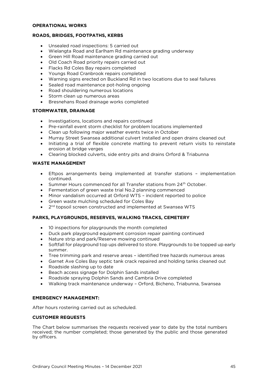#### **OPERATIONAL WORKS OPERATIONAL WORKS**

### **ROADS, BRIDGES, FOOTPATHS, KERBS**

- Unsealed road inspections: 5 carried out<br>• Wielangta Road and Earlbam Rd mainter
- Wielangta Road and Earlham Rd maintenance grading underway
- Green Hill Road maintenance grading carried out
- Old Coach Road priority repairs carried out
- Flacks Rd Coles Bay repairs completed<br>• Youngs Road Cranbrook repairs completed
- Youngs Road Cranbrook repairs completed<br>• Warning signs erected on Buckland Rd in two
- Warning signs erected on Buckland Rd in two locations due to seal failures
- Sealed road maintenance pot-holing ongoing
- Road shouldering numerous locations
- Storm clean up numerous areas
- Bresnehans Road drainage works completed

#### **STORMWATER, DRAINAGE**

- Investigations, locations and repairs continued<br>• Pre-rainfall event storm checklist for problem lo
- Pre-rainfall event storm checklist for problem locations implemented
- Clean up following major weather events twice in October
- Murray Street Swansea additional culvert installed and open drains cleaned out
- Initiating a trial of flexible concrete matting to prevent return visits to reinstate erosion at bridge verges
- Clearing blocked culverts, side entry pits and drains Orford & Triabunna

### **WASTE MANAGEMENT**

- Eftpos arrangements being implemented at transfer stations implementation
- Summer Hours commenced for all Transfer stations from 24<sup>th</sup> October.<br>• Fermentation of green waste trial No.2 planning commenced
- Fermentation of green waste trial No.2 planning commenced
- Minor vandalism occurred at Orford WTS incident reported to police
- Green waste mulching scheduled for Coles Bay
- $\bullet$  2<sup>nd</sup> topsoil screen constructed and implemented at Swansea WTS

## **PARKS, PLAYGROUNDS, RESERVES, WALKING TRACKS, CEMETERY**

- 10 inspections for playgrounds the month completed<br>• Duck park playground equipment corrosion repair pai
- Duck park playground equipment corrosion repair painting continued<br>• Nature strip and park/Reserve mowing continued
- Nature strip and park/Reserve mowing continued<br>• Softfall for playground top ups delivered to store E
- Softfall for playground top ups delivered to store. Playgrounds to be topped up early
- Tree trimming park and reserve areas identified tree hazards numerous areas<br>• Garnet Ave Coles Bay sentic tank crack renaired and bolding tanks cleaned our
- Garnet Ave Coles Bay septic tank crack repaired and holding tanks cleaned out
- Roadside slashing up to date
- Beach access signage for Dolphin Sands installed
- Roadside spraying Dolphin Sands and Cambria Drive completed
- Walking track maintenance underway Orford, Bicheno, Triabunna, Swansea

## **EMERGENCY MANAGEMENT:**

After hours rostering carried out as scheduled.

#### **CUSTOMER REQUESTS CUSTOMER REQUESTS**

received the number completed those generated by the public and those generated received; the number completed; those generated by the public and those generated by officers.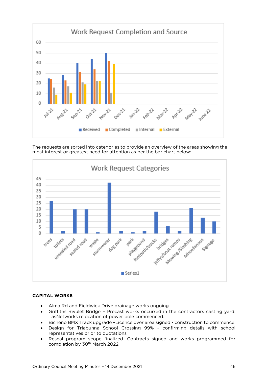

most interest or greatest need for attention as per the bar chart below:



#### **CAPITAL WORKS CAPITAL WORKS**

- Alma Rd and Fieldwick Drive drainage works ongoing<br>• Griffiths Rivulet Bridge Precast works occurred in
- Griffiths Rivulet Bridge Precast works occurred in the contractors casting yard.<br>TasNetworks relocation of power pole commenced.
- Bicheno BMX Track upgrade –Licence over area signed construction to commence.<br>• Design, for Triabunna, School, Crossing, 99% confirming, details, with school
- Design for Triabunna School Crossing 99% confirming details with school representatives prior to quotations
- Reseal program scope finalized. Contracts signed and works programmed for completion by  $70^{th}$  March 2022 completion by 30<sup>th</sup> March 2022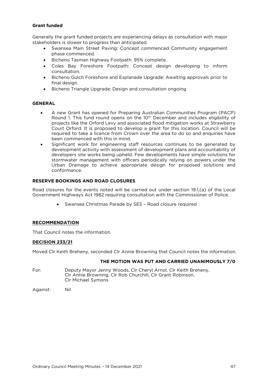#### **Grant funded Grant funded**

Generally the grant funded projects are experiencing delays as consultation with major stakeholders is slower to progress than anticipated.

- Swansea Main Street Paving: Concept commenced Community engagement<br>
phase commenced
	- Bicheno Tasman Highway Footpath: 95% complete.<br>• Color Bay, Estechate, Eastpath: Concent, desire
	- Coles Bay Foreshore Footpath: Concept design developing to inform consultation.
	- Bicheno Gulch Foreshore and Esplanade Upgrade: Awaiting approvals prior to final design
	- Bicheno Triangle Upgrade: Design and consultation ongoing

#### **GENERAL GENERAL**

- A new Grant has opened for Preparing Australian Communities Program (PACP)<br>Round 1. This fund round opens on the 10<sup>th</sup> December and includes eligibility of projects like the Orford Levy and associated flood mitigation works at Strawberry Court Orford. It is proposed to develop a grant for this location. Council will be required to take a licence from Crown over the area to do so and enquiries have been commenced with this in mind.
- Significant work for engineering staff resources continues to be generated by development activity with assessment of development plans and accountability of development activity with assessment of development plans and accountability of developers site works being upheld. Few developments have simple solutions for stormwater management with officers periodically relying on powers under the Urban Drainage to achieve appropriate design for proposed solutions and conformance. conformance.

#### **RESERVE BOOKINGS AND ROAD CLOSURES RESERVE BOOKINGS AND ROAD CLOSURES**

Road closures for the events noted will be carried out under section 19.1,(a) of the Local Government Highways Act 1982 requiring consultation with the Commissioner of Police. Government Highways Act 1982 requiring consultation with the Commissioner of Police.

• Swansea Christmas Parade by SES – Road closure required

### **RECOMMENDATION**

That Council notes the information. That Council notes the information.

### **DECISION 233/21**

Moved Clr Keith Breheny, seconded Clr Annie Browning that Council notes the information.

#### **THE MOTION WAS PUT AND CARRIED UNANIMOUSLY 7/0**

For: Deputy Mayor Jenny Woods, Clr Cheryl Arnol, Clr Keith Breheny, Clr Annie Browning, Clr Rob Churchill, Clr Grant Robinson, Clr Michael Symons Clr Michael Symons

Nil Against: Nil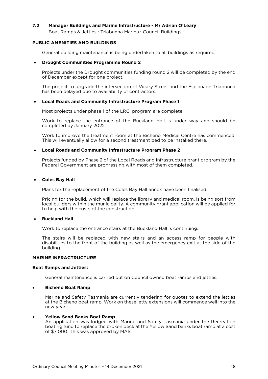#### <span id="page-47-0"></span>PUBLIC AMENITIES AND BUILDINGS **PUBLIC AMENITIES AND BUILDINGS**

General building maintenance is being undertaken to all buildings as required.

#### • **Drought Communities Programme Round 2**

Projects under the Drought communities funding round 2 will be completed by the end<br>of December except for one project. of December except for one project.

The project to upgrade the intersection of Vicary Street and the Esplanade Triabunna<br>has been delayed due to availability of contractors. has been delayed due to availability of contractors.

#### • **Local Roads and Community Infrastructure Program Phase 1**

Most projects under phase 1 of the LRCI program are complete.

completed by January 2022. completed by January 2022.

Work to improve the treatment room at the Bicheno Medical Centre has commenced.<br>This will eventually allow for a second treatment bed to be installed there. This will eventually allow for a second treatment bed to be installed there.

#### • **Local Roads and Community Infrastructure Program Phase 2**

 $\frac{1}{2}$  Federal Government are progressing with most of them completed Federal Government are progressing with most of them completed.

#### • **Coles Bay Hall**

Plans for the replacement of the Coles Bay Hall annex have been finalised.

Pricing for the build, which will replace the library and medical room, is being sort from local builders within the municipality. A community grant application will be applied for to help with the costs of the construction. to help with the costs of the construction.

#### • **Buckland Hall**

Work to replace the entrance stairs at the Buckland Hall is continuing.

 $\frac{1}{10}$  disabilities to the front of the building as well as the emergency exit at the side of the  $\ddot{\theta}$  building as well as the front of the emergency existence of the emergency existence of the side of the side of the side of the side of the side of the side of the side of the side of the side of the side of the s building.

#### **MARINE INFRACTRUCTURE MARINE INFRACTRUCTURE**

### **Boat Ramps and Jetties:**

General maintenance is carried out on Council owned boat ramps and jetties.

#### • **Bicheno Boat Ramp**

at the Bicheno boat ramp. Work on these jetty extensions will commence well into the at the Bicheno boat ramp. Work on the Bicheno boat ramp. We have well into the settem well into the settem well into the settem well into the settem well into the settem well into the settem well into the settem well into new year.

**Yellow Sand Banks Boat Ramp**<br>An application was lodged with Marine and Safely Tasmania under the Recreation boating fund to replace the broken deck at the Yellow Sand banks boat ramp at a cost  $\frac{1}{2}$  of \$7,000. This was approved by MAST of \$7,000. This was approved by MAST.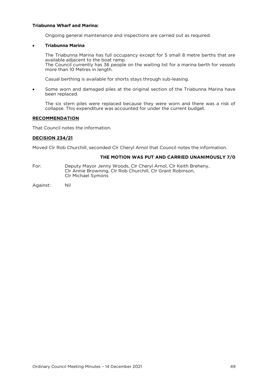#### **Triabunna Wharf and Marina:**

Ongoing general maintenance and inspections are carried out as required.

#### • **Triabunna Marina**

The Triabunna Marina has full occupancy except for 5 small 8 metre berths that are available adjacent to the boat ramp. The Council currently has 36 people on the waiting list for a marina berth for vessels more than 10 Metres in length.

Casual berthing is available for shorts stays through sub-leasing.

• Some worn and damaged piles at the original section of the Triabunna Marina have been replaced.

The six stern piles were replaced because they were worn and there was a risk of collapse. This expenditure was accounted for under the current budget. collapse. This expenditure was accounted for under the current budget.

#### **RECOMMENDATION**

That Council notes the information. That Council notes the information.

more than 10 Metres in length.

## **DECISION 234/21**

Moved Clr Rob Churchill, seconded Clr Cheryl Arnol that Council notes the information.

### **THE MOTION WAS PUT AND CARRIED UNANIMOUSLY 7/0**

- For: Deputy Mayor Jenny Woods, Clr Cheryl Arnol, Clr Keith Breheny,<br>Clr Annie Browning, Clr Rob Churchill, Clr Grant Robinson, Clr Michael Symons Clr Michael Symons
- Against: Nil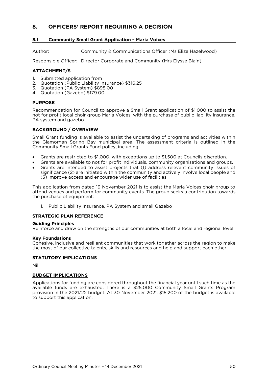## <span id="page-49-0"></span>**8. OFFICERS' REPORT REQUIRING A DECISION**

### <span id="page-49-1"></span>**8.1 Community Small Grant Application – Maria Voices**

Author: Community & Communications Officer (Ms Eliza Hazelwood)

Responsible Officer: Director Corporate and Community (Mrs Elysse Blain)

- **ATTACHMENT/S**<br>1. Submitted application from
- 2. Quotation (Public Liability Insurance) \$316.25
- 3. Quotation (PA System) \$898.00
- 4. Quotation (Gazebo) \$179.00  $\frac{1}{2}$ .  $\frac{1}{2}$

**PURPOSE**<br>Recommendation for Council to approve a Small Grant application of \$1,000 to assist the not for profit local choir group Maria Voices, with the purchase of public liability insurance, PA system and gazebo. PA system and gazebo.

**BACKGROUND / OVERVIEW**<br>Small Grant funding is available to assist the undertaking of programs and activities within the Glamorgan Spring Bay municipal area. The assessment criteria is outlined in the Community Small Grants Fund policy, including: Community Small Grants Fund policy, including:

- Grants are restricted to \$1,000, with exceptions up to \$1,500 at Councils discretion.
- Grants are available to not for profit individuals, community organisations and groups.
- Grants are intended to assist projects that (1) address relevant community issues of significance (2) are initiated within the community and actively involve local people and (3) improve access and encourage wider use of facilities. (3) improve access and encourage wider use of facilities.

This application from dated 19 November 2021 is to assist the Maria Voices choir group to the purchase of equipment: the purchase of equipment:

 $1 \quad$ 1. Public Liability Insurance, PA System and small Gazebo

# **STRATEGIC PLAN REFERENCE**<br>Guiding Principles

Reinforce and draw on the strengths of our communities at both a local and regional level. Reinforce and draw on the strengths of our communities at both a local and regional level.

**Key Foundations**<br>Cohesive, inclusive and resilient communities that work together across the region to make the most of our collective talents, skills and resources and help and support each other. the most of our collective talents, skills and resources and help and support each other.

### **STATUTORY IMPLICATIONS**

**BUDGET IMPLICATIONS**<br>Applications for funding are considered throughout the financial year until such time as the available funds are exhausted. There is a \$25,000 Community Small Grants Program provision in the 2021/22 budget. At 30 November 2021, \$15,200 of the budget is available to support this application. to support this application.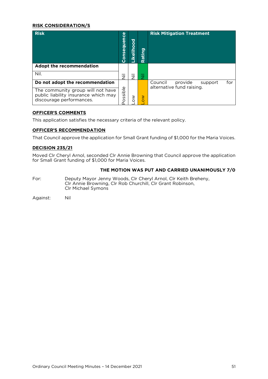### **RISK CONSIDERATION/S**

| <b>Risk</b>                                                                                           | Consequence | ठ<br>O<br><u>ة</u><br><u>ତ</u> | ත<br>έñ<br>Ra                  | <b>Risk Mitigation Treatment</b>                                  |
|-------------------------------------------------------------------------------------------------------|-------------|--------------------------------|--------------------------------|-------------------------------------------------------------------|
| Adopt the recommendation                                                                              |             |                                |                                |                                                                   |
| Nil.                                                                                                  | ラ           | ァ                              | $\overline{\phantom{0}}$<br>Z. |                                                                   |
| Do not adopt the recommendation                                                                       |             | ≥                              | $\geq$                         | provide<br>Council<br>for<br>support<br>alternative fund raising. |
| The community group will not have<br>public liability insurance which may<br>discourage performances. | ossible     |                                |                                |                                                                   |

**OFFICER'S COMMENTS** This application satisfies the necessary criteria of the relevant policy.

## **OFFICER'S RECOMMENDATION**

That Council approve the application for Small Grant funding of \$1,000 for the Maria Voices.

**DECISION 235/21** for Small Grant funding of \$1,000 for Maria Voices. for Small Grant funding of \$1,000 for Maria Voices.

### **THE MOTION WAS PUT AND CARRIED UNANIMOUSLY 7/0**

For: Deputy Mayor Jenny Woods, Clr Cheryl Arnol, Clr Keith Breheny,<br>Clr Annie Browning, Clr Rob Churchill, Clr Grant Robinson, Clr Michael Symons Clr Michael Symons

Against: Nil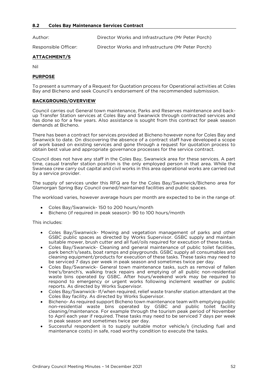<span id="page-51-0"></span>Author: Director Works and Infrastructure (Mr Peter Porch)

Responsible Officer: Director Works and Infrastructure (Mr Peter Porch)

### **ATTACHMENT/S**

## **PURPOSE**

To present a summary of a Request for Quotation process for Operational activities at Coles<br>Bay and Bicheno and seek Council's endorsement of the recommended submission. Bay and Bicheno and seek Council's endorsement of the recommended submission.

### <u>BACKBROUND/OVERVIEW</u>

Council carries out General town maintenance, Parks and Reserves maintenance and back-<br>up Transfer Station services at Coles Bay and Swanwick through contracted services and has done so for a few years. Also assistance is sought from this contract for peak season demands at Bicheno. demands at Bicheno.

There has been a contract for services provided at Bicheno however none for Coles Bay and<br>Swanwick to date. On discovering the absence of a contract staff have developed a scope of work based on existing services and gone through a request for quotation process to of the service services and appropriate governance processes for the service contract. obtain best value and appropriate governance processes for the service contract.

Council does not have any staff in the Coles Bay, Swanwick area for these services. A part Swansea crew carry out capital and civil works in this area operational works are carried out Swansea crew carry out capital and civil works in this area operational works are carried out by a service provider.

Glamorgan Spring Bay Council owned/maintained facilities and public spaces. Glamorgan Spring Bay Council owned/maintained facilities and public spaces.

The workload varies, however average hours per month are expected to be in the range of:

- Coles Bay/Swanwick- 150 to 200 hours/month
- Bicheno (if required in peak season)- 90 to 100 hours/month

This includes:

- Coles Bay/Swanwick- Mowing and vegetation management of parks and other suitable mower, brush cutter and all fuel/oils required for execution of these tasks.
- Coles Bay/Swanwick- Cleaning and general maintenance of public toilet facilities,<br>hark bench's/seats. boat ramps and playarounds. GSBC supply all consumables and park bench's/seats, boat ramps and playgrounds. GSBC supply all consumables and cleaning equipment/products for execution of these tasks. These tasks may need to be serviced 7 days per week in peak season and sometimes twice per day.
- Coles Bay/Swanwick- General town maintenance tasks, such as removal of fallen<br>tree's/branch's, walking track repairs and emptying of all public non-residential tree's/branch's, walking track repairs and emptying of all public non-residential respond to emergency or urgent works following inclement weather or public reports. As directed by Works Supervisor.
- Coles Bay/Swanwick-If/when required, relief waste transfer station attendant at the Coles Bay/Swanwick-If/when required, relief waste transfer station attendant at the
- Bicheno- As required support Bicheno town maintenance team with emptying public<br>non-residential waste bins operated by GSBC and public toilet facility non-residential waste bins operated by GSBC and public toilet facility cleaning/maintenance. For example through the tourism peak period of November to April each year if required. These tasks may need to be serviced 7 days per week in peak season and sometimes twice per day.
- Successful respondent is to supply suitable motor vehicle/s (including fuel and maintenance costs) in safe road worthy condition to execute the tasks maintenance costs) in safe, road worthy condition to execute the tasks.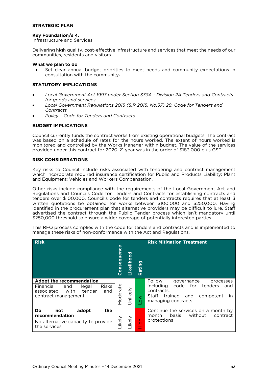## <u><del>strategic planet</del></u>

**Key Foundation/s 4.** Infrastructure and Services

Delivering high quality, cost-effective infrastructure and services that meet the needs of our communities, residents and visitors.

#### What we plan to do

• Set clear annual budget priorities to meet needs and community expectations in consultation with the community. consultation with the community**.**

## <u>statutory in the model is an interesting</u>

- *Local Government Act 1993 under Section 333A - Division 2A Tenders and Contracts*
- *for goods and services. Local Government Regulations 2015 (S.R 2015, No.37) 28. Code for Tenders and*
- *Contracts Policy – Code for Tenders and Contracts*

### **BUDGET IMPLICATIONS**

Council currently funds the contract works from existing operational budgets. The contract monitored and controlled by the Works Manager within budget. The value of the services provided under this contract for 2020-21 year was in the order of \$183,000 plus  $GST$ provided under this contract for 2020-21 year was in the order of \$183,000 plus GST.

#### **RISK CONSIDERATIONS**

Key risks to Council include risks associated with tendering and contract management which incorporate required insurance certification for Public and Products Liability; Plant and Fouldment: Vehicles and Workers Compensation  $\mathbb{R}$ and Equipment; Vehicles and Workers Compensation.

Other risks include compliance with the requirements of the Local Government Act and<br>Regulations and Councils Code for Tenders and Contracts for establishing contracts and tenders over \$100,000. Council's code for tenders and contracts requires that at least 3 written quotations be obtained for works between \$100,000 and \$250,000. Having identified in the procurement plan that alternative providers may be difficult to lure, Staff advertised the contract through the Public Tender process which isn't mandatory until  $$250,000$  threshold to ensure a wider coverage of potentially interested parties. \$250,000 threshold to ensure a wider coverage of potentially interested parties.

This RFQ process complies with the code for tenders and contracts and is implemented to manage these risks of non-conformance with the Act and Regulations. manage these risks of non-conformance with the Act and Regulations.

| <b>Risk</b>                                                                                                                         | Consequence | Likelihood | <u>ත</u><br><b>Rating</b> | <b>Risk Mitigation Treatment</b>                                                                                                                                            |
|-------------------------------------------------------------------------------------------------------------------------------------|-------------|------------|---------------------------|-----------------------------------------------------------------------------------------------------------------------------------------------------------------------------|
| Adopt the recommendation<br><b>Risks</b><br>Financial<br>legal<br>and<br>tender<br>with<br>associated<br>and<br>contract management | Moderate    | Unlikely   | $\geq$                    | Follow<br>governance<br>processes<br>code<br>including<br>for<br>tenders<br>and<br>contracts.<br>Staff<br>trained<br>competent<br>and<br>$\mathsf{I}$<br>managing contracts |
| Do<br>adopt<br>the<br>not<br>recommendation<br>No alternative capacity to provide<br>the services                                   | Likely      | ikely      | High                      | Continue the services on a month by<br>without<br>month<br>basis<br>contract<br>protections                                                                                 |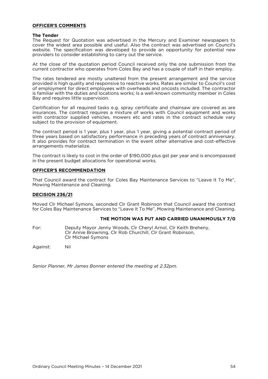#### **OFFICER'S COMMENTS OFFICER'S COMMENTS**

#### **The Tender**

The Request for Quotation was advertised in the Mercury and Examiner newspapers to cover the widest area possible and useful. Also the contract was advertised on Council's website. The specification was developed to provide an opportunity for potential new providers to consider establishing to carry out the service. providers to consider establishing to carry out the service.

At the close of the quotation period Council received only the one submission from the current contractor who operates from Coles Bay and has a couple of staff in their employ. current contractor who operates from Coles Bay and has a couple of staff in their employ.

The rates tendered are mostly unaltered from the present arrangement and the service provided is high quality and responsive to reactive works. Rates are similar to Council's cost of employment for direct employees with overheads and oncosts included. The contractor is familiar with the duties and locations works; Is a well-known community member in Coles Bay and requires little supervision. Bay and requires little supervision.

Certification for all required tasks e.g. spray certificate and chainsaw are covered as are with contractor supplied vehicles, mowers etc and rates in the contract schedule vary subject to the provision of equipment. subject to the provision of equipment.

The contract period is 1 year, plus 1 year, plus 1 year, giving a potential contract period of three years based on satisfactory performance in preceding years of contract anniversary. It also provides for contract termination in the event other alternative and cost-effective arrangements materialize. arrangements materialize.

The contract is likely to cost in the order of \$190,000 plus gst per year and is encompassed in the present budget allocations for operational works. in the present budget allocations for operational works.

### **OFFICER'S RECOMMENDATION**

That Council award the contract for Coles Bay Maintenance Services to "Leave It To Me", Mowing Maintenance and Cleaning.

## **DECISION 236/21**

for Coles Bay Maintenance Services to "Leave It To Me". Mowing Maintenance and Cleaning for Coles Bay Maintenance Services to "Leave It To Me", Mowing Maintenance and Cleaning.

### **THE MOTION WAS PUT AND CARRIED UNANIMOUSLY 7/0**

For: Deputy Mayor Jenny Woods, Clr Cheryl Arnol, Clr Keith Breheny, Clr Annie Browning, Clr Rob Churchill, Clr Grant Robinson, Clr Annie Browning, Clr Rob Churchill, Clr Grant Robinson, Clr Michael Symons

Nil Against: Nil

*Senior Planner, Mr James Bonner entered the meeting at 2.32pm.*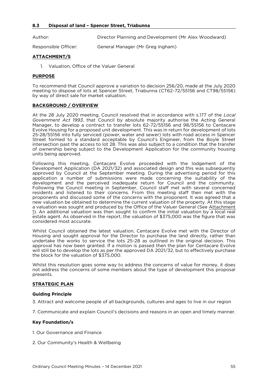<span id="page-54-0"></span>Author:  $\mathcal{L}(\mathcal{A})$ 

Responsible Officer: General Manager (Mr Greg Ingham)

### **ATTACHMENT/S**

1. Valuer General time of the Valuer General time of the Valuer General time of the Valuer General time of the<br>The Valuer General time of the Valuer General time of the Valuer General time of the Valuer General time of th

### **PURPOSE**

To recommend that Council approve a variation to decision 256/20, made at the July 2020 by way of direct sale for market valuation. by way of direct sale for market valuation.

#### **BACKGROUND / OVERVIEW**

At the 28 July 2020 meeting, Council resolved that in accordance with s.177 of the *Local*  Manager, to develop a contract to transfer lots 62-72/55156 and 98/55156 to Centacare Evolve Housing for a proposed unit development. This was in return for development of lots 25-28/55156 into fully serviced (power, water and sewer) lots with road access in Spencer Street formed to a standard acceptable by Council's Engineer, from the Boyle Street intersection past the access to lot 28. This was also subject to a condition that the transfer of ownership being subject to the Development Application for the community housing units being approved. units being approved.

Following this meeting, Centacare Evolve proceeded with the lodgement of the Development Application (DA 2021/32) and associated design and this was subsequently approved by Council at the September meeting. During the advertising period for this application a number of submissions were made concerning the suitability of the development and the perceived inadequate return for Council and the community. Following the Council meeting in September, Council staff met with several concerned residents and listened to their concerns. From this meeting staff then met with the proponents and discussed some of the concerns with the proponent. It was agreed that a new valuation be obtained to determine the current valuation of the property. At this stage a valuation was sought and produced by the Office of the Valuer General (See Attachment 1). An additional valuation was then sought to confirm the initial valuation by a local real estate agent. As observed in the report, the valuation of \$375,000 was the figure that was considered most accurate. considered most accurate.

Whilst Council obtained the latest valuation, Centacare Evolve met with the Director of Housing and sought approval for the Director to purchase the land directly, rather than undertake the works to service the lots 25-28 as outlined in the original decision. This approval has now been granted. If a motion is passed then the plan for Centacare Evolve will still be to develop the lots as per the approved DA 2021/32, but to effectively purchase the block for the valuation of \$375,000. the block for the value of  $\mathcal{S}_3$ 75,000.

not address the concerns of some members about the type of development this proposal not address the concerns of some members about the type of development the type of development the type of development the type of development the type of development the type of development of the type of development of t presents.

### **STRATEGIC PLANE**

**Guiding Principle**<br>
3. Attract and welcome people of all backgrounds, cultures and ages to live in our region 3. Attract and welcome people of all backgrounds, cultures and ages to live in our region

7. Communicate and explain Council's decisions and reasons in an open and timely manner.

#### **Key Foundation/s**

1. Our Governance and Finance

2. Our Community's Health & Wellbeing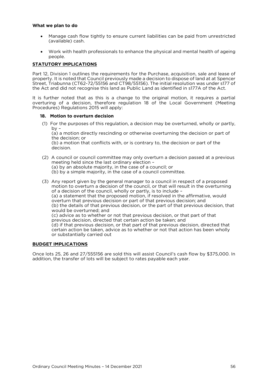#### **What we plan to do**

- Manage cash flow tightly to ensure current liabilities can be paid from unrestricted (available) cash.  $\sqrt{a}$
- Work with health professionals to enhance the physical and mental health of ageing

#### **STATUTORY IMPLICATIONS** <u>statutory in the model is an interesting</u>

Part 12, Division 1 outlines the requirements for the Purchase, acquisition, sale and lease of property. It is noted that Council previously made a decision to dispose of land at at Spencer Street, Triabunna (CT62-72/55156 and CT98/55156). The initial resolution was under s177 of the Act and did not recognise this land as Public Land as identified in s177A of the Act. the Act and did not recognise this land as Public Land as identified in s177A of the Act.

It is further noted that as this is a change to the original motion, it requires a partial overturing of a decision, therefore regulation 18 of the Local Government (Meeting Procedures) Regulations 2015 will apply: Procedures) Regulations 2015 will apply:

**18. Motion to overturn decision**<br>(1) For the purposes of this regulation, a decision may be overturned, wholly or partly,  $\mathsf{b}\mathsf{v}$  = by -<br>(a) a motion directly rescinding or otherwise overturning the decision or part of

the decision: or

(b) a motion that conflicts with, or is contrary to, the decision or part of the  $\theta$  decision.

(2) A council or council committee may only overturn a decision passed at a previous (a) by an absolute majority, in the case of a council; or  $(b)$  by a simple majority, in the case of a council committee.

(b) by a simple majority, in the case of a council committee.

(3) Any report given by the general manager to a council in respect of a proposed of a decision of the council, wholly or partly, is to include - $(a)$  a statement that the proposed motion, if resolved in the affirmative, would overturn that previous decision or part of that previous decision; and (b) the details of that previous decision, or the part of that previous decision, that would be overturned; and (c) advice as to whether or not that previous decision, or that part of that previous decision, directed that certain action be taken; and (d) if that previous decision, or that part of that previous decision, directed that certain action be taken, advice as to whether or not that action has been wholly or substantially carried out or substantially carried out

### <u>BUDGET IMPLICATIONS I</u>

Once lots 25, 26 and 27/555156 are sold this will assist Council's cash flow by \$375,000. In addition, the transfer of lots will be subject to rates payable each year. addition, the transfer of lots will be subject to rates payable each year.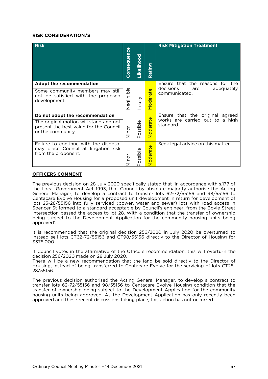### **RISK CONSIDERATION/S**

| <b>Risk</b>                                                                                           | Consequence       | Likelihood | Rating   | <b>Risk Mitigation Treatment</b>                |
|-------------------------------------------------------------------------------------------------------|-------------------|------------|----------|-------------------------------------------------|
| Adopt the recommendation                                                                              |                   |            |          | Ensure that the reasons for the                 |
| Some community members may still<br>not be satisfied with the proposed<br>development.                | <b>Jegligible</b> | Likely     | Moderate | decisions<br>adequately<br>are<br>communicated. |
| Do not adopt the recommendation                                                                       |                   |            | $\omega$ | Ensure that the original agreed                 |
| The original motion will stand and not<br>present the best value for the Council<br>or the community. | Minor             | Possible   | Moderat  | works are carried out to a high<br>standard.    |
| Failure to continue with the disposal<br>may place Council at litigation risk<br>from the proponent.  | Minor             | ossible    | Moderate | Seek legal advice on this matter.               |

### **OFFICERS COMMENT**

The previous decision on 28 July 2020 specifically stated that 'In accordance with s.177 of the Local Government Act 1993, that Council by absolute majority authorise the Acting General Manager, to develop a contract to transfer lots 62-72/55156 and 98/55156 to Centacare Evolve Housing for a proposed unit development in return for development of lots 25-28/55156 into fully serviced (power, water and sewer) lots with road access in Spencer St formed to a standard acceptable by Council's engineer, from the Boyle Street intersection passed the access to lot 28. With a condition that the transfer of ownership being subject to the Development Application for the community housing units being being subject to the Development Application for the community housing units being approved'.

 $\frac{1}{10}$  instead sell lots CT62-72/55156 and CT98/55156 directly to the Director of Housing for instead sell lots CT62-72/55156 and CT98/55156 directly to the Director of Housing for \$375,000.

If Council votes in the affirmative of the Officers recommendation, this will overturn the decision 256/2020 made on 28 July 2020.

There will be a new recommendation that the land be sold directly to the Director of Housing, instead of being transferred to Centacare Evolve for the servicing of lots CT25- $\frac{1}{28}$  $28/551551$ 

The previous decision authorised the Acting General Manager, to develop a contract to transfer lots 62-72/55156 and 98/55156 to Centacare Evolve Housing condition that the transfer of ownership being subject to the Development Application for the community housing units being approved. As the Development Application has only recently been  $h_{\text{non-1}}$  approved and these recent discussions taking place, this action has not occurred. approved and these recent discussions taking place, this action has not occurred.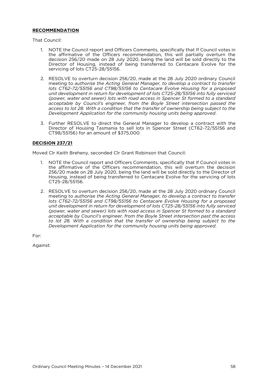## **RECOMMENDATION**

That Council:

- 1. NOTE the Council report and Officers Comments, specifically that If Council votes in the affirmative of the Officers recommendation, this will partially overturn the decision 256/20 made on 28 July 2020, being the land will be sold directly to the Director of Housing, instead of being transferred to Centacare Evolve for the  $S$ ervicing of lots CT25-28/55156.  $\frac{1}{2}$ servicing of lots CT25-28/55156.
- 2. RESOLVE to overturn decision 256/20, made at the 28 July 2020 ordinary Council meeting to *authorise the Acting General Manager, to develop a contract to transfer* lots CT62-72/55156 and CT98/55156 to Centacare Evolve Housing for a proposed *unit development in return for development of lots CT25-28/55156 into fully serviced (power, water and sewer) lots with road access in Spencer St formed to a standard* acceptable by Council's engineer, from the Boyle Street intersection passed the access to lot 28. With a condition that the transfer of ownership being subject to the Development Application for the community housing units being approved. *Development Application for the community housing units being approved*.
- 3. Further RESOLVE to direct the General Manager to develop a contract with the CT98/55156) for an amount of \$375,000.  $\sim$  375,000,  $\sim$  375,000.

### **DECISION 237/21**

Moved Clr Keith Breheny, seconded Clr Grant Robinson that Council:

- 1. NOTE the Council report and Officers Comments, specifically that If Council votes in 256/20 made on 28 July 2020, being the land will be sold directly to the Director of Housing, instead of being transferred to Centacare Evolve for the servicing of lots CT25-28/55156. C<sub>T2</sub>5-28-28-28
- 2. RESOLVE to overturn decision 256/20, made at the 28 July 2020 ordinary Council<br>meeting to *authorise the Acting General Manager, to develop a contract to transfer* lots CT62-72/55156 and CT98/55156 to Centacare Evolve Housing for a proposed *lots CT62-72/55156 and CT98/55156 to Centacare Evolve Housing for a proposed (power, water and sewer) lots with road access in Spencer St formed to a standard* acceptable by Council's engineer, from the Boyle Street intersection past the access to lot 28. With a condition that the transfer of ownership being subject to the *Development Application for the community housing units being approved. Development Application for the community housing units being approved*.

Against: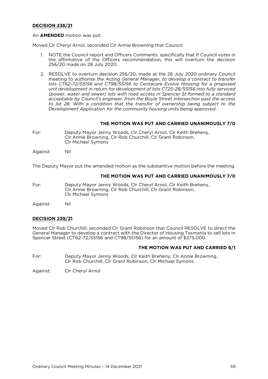## **DECISION 238/21**

### An **AMENDED** motion was put:

Moved Clr Cheryl Arnol, seconded Clr Annie Browning that Council:

- NOTE the Council report and Officers Comments, specifically that If Council votes in the affirmative of the Officers recommendation, this will overturn the decision  $1_{\cdot}$ 256/20 made on 28 July 2020. 256/20 made on 28 July 2020.
- 2. RESOLVE to overturn decision 256/20, made at the 28 July 2020 ordinary Council meeting to *authorise the Acting General Manager, to develop a contract to transfer* lots CT62-72/55156 and CT98/55156 to Centacare Evolve Housing for a proposed *unit development in return for development of lots CT25-28/55156 into fully serviced* (power, water and sewer) lots with road access in Spencer St formed to a standard *acceptable by Council's engineer, from the Boyle Street intersection past the access* to lot 28. With a condition that the transfer of ownership being subject to the Development Application for the community housing units being approved. *Development Application for the community housing units being approved*.

## **THE MOTION WAS PUT AND CARRIED UNANIMOUSLY 7/0**

Deputy Mayor Jenny Woods, Clr Cheryl Arnol, Clr Keith Breheny, Clr Annie Browning, Clr Rob Churchill, Clr Grant Robinson, For: Clr Michael Symons Clr Michael Symons

Nil Against: Against: Nil

The Deputy Mayor put the amended motion as the substantive motion before the meeting.

#### THE MOTION WAS PUT AND CARRIED UNANIMOUSLY 7/0 **THE MOTION WAS PUT AND CARRIED UNANIMOUSLY 7/0**

Deputy Mayor Jenny Woods, Clr Cheryl Arnol, Clr Keith Breheny, Clr Annie Browning, Clr Rob Churchill, Clr Grant Robinson, For: Clr Annie Browning, Clr Rob Churchill, Clr Grant Robinson, Clr Michael Symons

Nil Against: Nil

### **DECISION 239/21**

Moved Clr Rob Churchill, seconded Clr Grant Robinson that Council RESOLVE to direct the General Manager to develop a contract with the Director of Housing Tasmania to sell lots in Spencer Street ( $CT62-72/55156$  and  $CT98/55156$ ) for an amount of \$375,000.  $S_{\rm F}$  street (CT62-72) for an amount of  $S_{\rm F}$  for an amount of  $S_{\rm F}$ 

## **THE MOTION WAS PUT AND CARRIED 6/1**

For: For: Deputy Mayor Jenny Woods, Clr Keith Breheny, Clr Annie Browning, Clr Rob Churchill, Clr Grant Robinson, Clr Michael Symons

 $\mathcal{L}$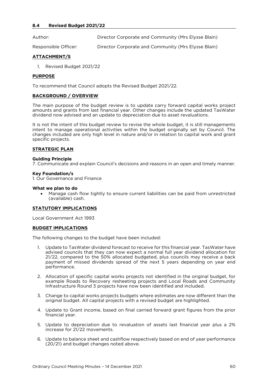<span id="page-59-0"></span>Author:

 $\mathcal{L}(\mathcal{A})$ 

Responsible Officer: Director Corporate and Community (Mrs Elysse Blain)

### **ATTACHMENT/S**

1. Revised Budget 2021/22

#### **PURPOSE**

To recommend that Council adopts the Revised Budget 2021/22.

### **BACKGROUND / OVERVIEW**

The main purpose of the budget review is to update carry forward capital works project amounts and grants from last financial year. Other changes include the updated TasWater dividend now advised and an update to depreciation due to asset revaluations dividend now advised and an update to depreciation due to asset revaluations.

It is not the intent of this budget review to revise the whole budget, it is still managements intent to manage operational activities within the budget originally set by Council. The  $i$ changes included are only high level in nature and/or in relation to capital work and grant changes included are only high level in the capital work and grant and grant and grant work and grant and grant specific projects.

#### **STRATEGIC PLAN**

**Guiding** Principle 7. Communicate and explain Council's decisions and reasons in an open and timely manner.

**Key Foundation/s** 1. Our Governance and Finance

• Manage cash flow tightly to ensure current liabilities can be paid from unrestricted (available) cash. (available) cash.

## <u>statutory in the model is an interesting</u>

Local Government Act 1993

#### **BUDGET IMPLICATIONS**

The following changes to the budget have been included:

- 1. Update to TasWater dividend forecast to receive for this financial year. TasWater have 21/22, compared to the 50% allocated budgeted, plus councils may receive a back  $\alpha$ <sub>2</sub> payment of missed dividends spread of the next 5 years depending on year end payment of missed dividends spread of the next 5 years depending on year end performance.
- 2. Allocation of specific capital works projects not identified in the original budget, for Infrastructure Round 3 projects have now been identified and included Infrastructure Round 3 projects have now been identified and included.
- 3. Change to capital works projects budgets where estimates are now different than the original budget. All capital projects with a revised budget are highlighted.
- 4. Update to Grant income, based on final carried forward grant figures from the prior financial year.
- 5. Update to depreciation due to revaluation of assets last financial year plus a 2%  $\cdots$
- $(20/21)$  and budget changes noted above.  $(20, 20)$  and budget changes noted above.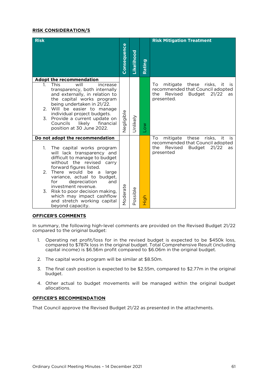### **RISK CONSIDERATION/S**

| <b>Risk</b>                                                                                                                                                                                                                                                                                                                                                                                                         | Consequence | Likelihood | Rating     | <b>Risk Mitigation Treatment</b>                                                                                                               |
|---------------------------------------------------------------------------------------------------------------------------------------------------------------------------------------------------------------------------------------------------------------------------------------------------------------------------------------------------------------------------------------------------------------------|-------------|------------|------------|------------------------------------------------------------------------------------------------------------------------------------------------|
| <b>Adopt the recommendation</b><br><b>This</b><br>will<br>increase<br>$1_{-}$<br>transparency, both internally<br>and externally, in relation to<br>the capital works program<br>being undertaken in 21/22.<br>2. Will be easier to manage<br>individual project budgets.<br>3.<br>Provide a current update on<br>Councils<br>likely<br>financial<br>position at 30 June 2022.                                      | Negligible  | Jnlikely   | <b>NOT</b> | mitigate these risks,<br>To.<br>- it<br><b>is</b><br>recommended that Council adopted<br>21/22<br>Revised<br>Budget<br>the<br>as<br>presented. |
| Do not adopt the recommendation                                                                                                                                                                                                                                                                                                                                                                                     |             |            |            | mitigate these risks, it<br>To<br>is.                                                                                                          |
| The capital works program<br>$1_{\cdot}$<br>will lack transparency and<br>difficult to manage to budget<br>without the revised<br>carry<br>forward figures listed.<br>2.<br>There would be<br>large<br>a<br>variance, actual to budget,<br>for<br>depreciation<br>and<br>investment revenue.<br>Risk to poor decision making,<br>3.<br>which may impact cashflow<br>and stretch working capital<br>beyond capacity. | Moderate    | Possible   | High       | recommended that Council adopted<br>21/22<br>the<br>Revised<br>Budget<br>as<br>presented                                                       |

#### **OFFICER'S COMMENTS**

 $S$  compared to the original budget  $\overline{S}$ compared to the original budget:

- 1. Operating net profit/loss for in the revised budget is expected to be \$450k loss, compared to \$787k loss in the original budget. Total Comprehensive Result (including capital income) is  $$6.56$ m profit compared to  $$6.06$ m in the original budget.  $\mathbf{r}$  is  $\mathbf{r}$  is  $\mathbf{r}$  in the original budget.
- 2. The capital works program will be similar at \$8.50m.
- $\frac{3}{2}$ . The final case of  $\frac{3}{2}$ . budget.
- 4. Other actual to budget movements will be managed within the original budget allocations.

### **OFFICER'S RECOMMENDATION**

That Council approve the Revised Budget 21/22 as presented in the attachments.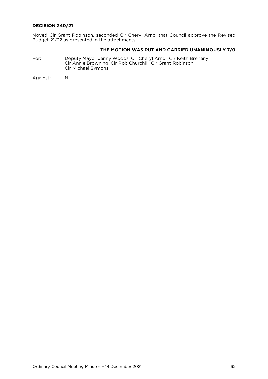### **DECISION 240/21**

 $\mathsf{R}$ udget 21/22 as presented in the attachments Budget 21/22 as presented in the attachments.

## **THE MOTION WAS PUT AND CARRIED UNANIMOUSLY 7/0**

Formula Clr Annie Browning Clr Rob Churchill Clr Grant Robinson Clr Annie Browning, Clr Rob Churchill, Clr Grant Robinson, Clr Michael Symons

Against: Nil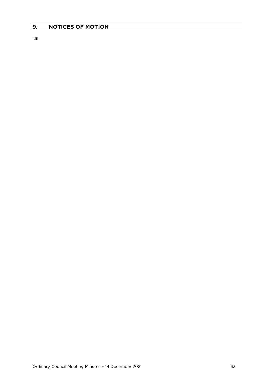### <span id="page-62-0"></span>**9. NOTICES OF MOTION**

Nil.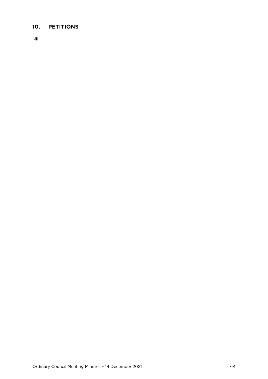## <span id="page-63-0"></span>**10. PETITIONS**

Nil.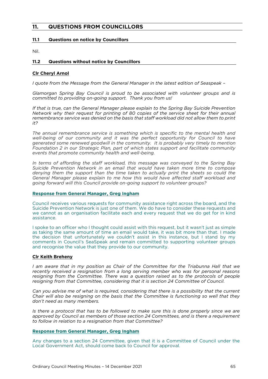## <span id="page-64-0"></span>**11. QUESTIONS FROM COUNCILLORS**

#### <span id="page-64-1"></span>**11.1 Questions on notice by Councillors**

<span id="page-64-2"></span>

#### $11.2$ **11.2 Questions without notice by Councillors**

### **Clr Cheryl Arnol**

*I quote from the Message from the General Manager in the latest edition of Seaspeak –*

*Glamorgan Spring Bay Council is proud to be associated with volunteer groups and is committed to providing on-going support. Thank you from us! committed to providing on-going support. Thank you from us!*

*If that is true, can the General Manager please explain to the Spring Bay Suicide Prevention*  remembrance service was denied on the basis that staff workload did not allow them to print *remembrance service was denied on the basis that staff workload did not allow them to print* 

*The annual remembrance service is something which is specific to the mental health and generated some renewed goodwill in the community. It is probably very timely to mention* Foundation 2 in our Strategic Plan, part of which states support and facilitate community *events that promote community health and well-being. events that promote community health and well-being.*

*In terms of affording the staff workload, this message was conveyed to the Spring Bay denying them the support than the time taken to actually print the sheets so could the* General Manager please explain to me how this would have affected staff workload and *General Manager please explain to me how this would have affected staff workload and going forward will this Council provide on-going support to volunteer groups?*

### **Response from General Manager, Greg Ingham**

Council receives various requests for community assistance right across the board, and the Suicide Prevention Network is just one of them. We do have to consider these requests and we cannot as an organisation facilitate each and every request that we do get for in kind we cannot as an originate each and every request that we do get for in kind we do get for in kind we do get for

I spoke to an officer who I thought could assist with this request, but it wasn't just as simple as taking the same amount of time an email would take, it was bit more than that. I made the decision that unfortunately we couldn't assist in this instance, but I stand by my comments in Council's SeaSpeak and remain committed to supporting volunteer groups and recognise the value that they provide to our community and recognise the value that they provide to our community.

### **Clr Keith Breheny**

*I am aware that in my position as Chair of the Committee for the Triabunna Hall that we resigning from the Committee. There was a question raised as to the protocols of people resigning from the Committee. There was a question raised as to the protocols of people resigning from that Committee, considering that it is section 24 Committee of Council.* 

*Can you advise me of what is required, considering that there is a possibility that the current Chair will also be resigning on the basis that the Committee is functioning so well that they don't need as many members.* 

*Is* there a protocol that has to be followed to make sure this is done properly since we are approved by Council as members of those section 24 Committees, and is there a requirement to follow in relation to a resignation from that Committee? *to follow in relation to a resignation from that Committee?*

#### **Response from General Manager, Greg Ingham**

Local Government Act, should come back to Council for approval Local Government Act, should come back to Council for approval.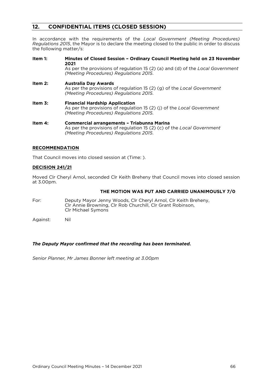### <span id="page-65-0"></span>**12. CONFIDENTIAL ITEMS (CLOSED SESSION)**

In accordance with the requirements of the *Local Government (Meeting Procedures) Regulations 2015*, the Mayor is to declare the meeting closed to declare the public in order to discusse the public in order to discusse the public in order to discusse the public in order to discusse the public in order  $\frac{1}{\sqrt{2}}$ 

Item  $1:$ **Item 1: Minutes of Closed Session – Ordinary Council Meeting held on 23 November** As per the provisions of regulation 15 (2) (a) and (d) of the Local Government (Meeting Procedures) Regulations 2015. *(Meeting Procedures) Regulations 2015*. **Item 2: Australia Day Awards**<br>As per the provisions of regulation 15 (2) (g) of the Local Government (Meeting Procedures) Regulations 2015. *(Meeting Procedures) Regulations 2015*. Item 3: **Financial Hardship Application**<br>As per the provisions of regulation 15 (2) (j) of the Local Government (Meeting Procedures) Regulations 2015. *(Meeting Procedures) Regulations 2015*. Item 4: **Commercial arrangements - Triabunna Marina**<br>As per the provisions of regulation 15 (2) (c) of the Local Government

## **RECOMMENDATION**

That Council moves into closed session at (Time: ).

(Meeting Procedures) Regulations 2015. *(Meeting Procedures) Regulations 2015*.

### **DECISION 241/21**

Moved Cler Cheryl Arnol, seconded Clr Keith Brehen, share Council moved and closed session at 3.00pm. at 3.00pm.

## **THE MOTION WAS PUT AND CARRIED UNANIMOUSLY 7/0**

- For: Deputy Mayor Jenny Woods, Clr Cheryl Arnol, Clr Keith Breheny, Clr Annie Browning, Clr Rob Churchill, Clr Grant Robinson, Clr Michael Symons Clr Michael Symons
- Nil Against: Nil

#### *The Deputy Mayor confirmed that the recording has been terminated.*

*Senior Planner, Mr James Bonner left meeting at 3.00pm*